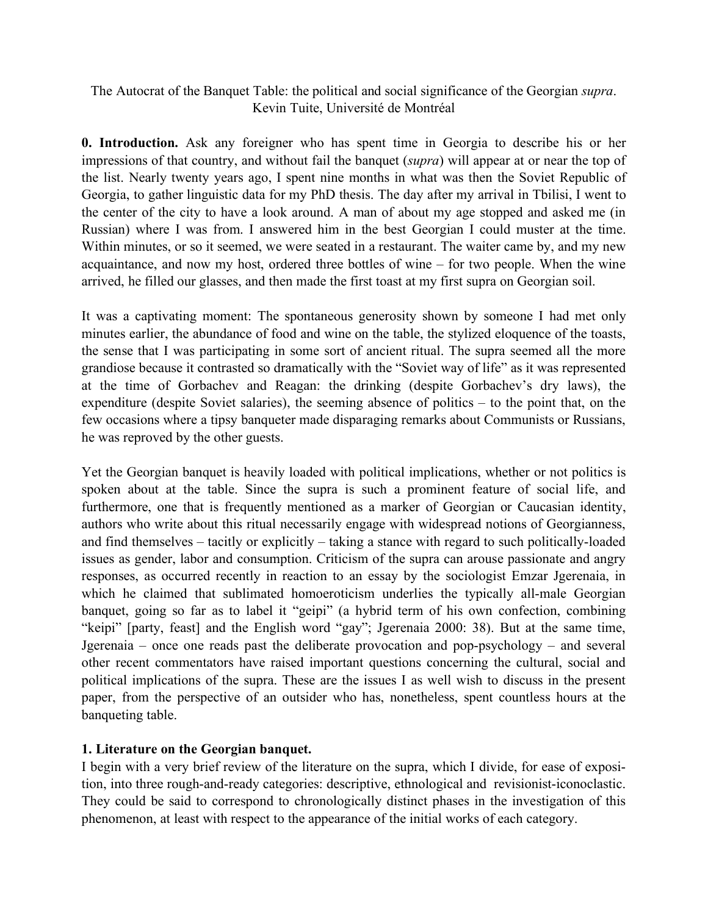# The Autocrat of the Banquet Table: the political and social significance of the Georgian *supra*. Kevin Tuite, Université de Montréal

**0. Introduction.** Ask any foreigner who has spent time in Georgia to describe his or her impressions of that country, and without fail the banquet (*supra*) will appear at or near the top of the list. Nearly twenty years ago, I spent nine months in what was then the Soviet Republic of Georgia, to gather linguistic data for my PhD thesis. The day after my arrival in Tbilisi, I went to the center of the city to have a look around. A man of about my age stopped and asked me (in Russian) where I was from. I answered him in the best Georgian I could muster at the time. Within minutes, or so it seemed, we were seated in a restaurant. The waiter came by, and my new acquaintance, and now my host, ordered three bottles of wine – for two people. When the wine arrived, he filled our glasses, and then made the first toast at my first supra on Georgian soil.

It was a captivating moment: The spontaneous generosity shown by someone I had met only minutes earlier, the abundance of food and wine on the table, the stylized eloquence of the toasts, the sense that I was participating in some sort of ancient ritual. The supra seemed all the more grandiose because it contrasted so dramatically with the "Soviet way of life" as it was represented at the time of Gorbachev and Reagan: the drinking (despite Gorbachev's dry laws), the expenditure (despite Soviet salaries), the seeming absence of politics – to the point that, on the few occasions where a tipsy banqueter made disparaging remarks about Communists or Russians, he was reproved by the other guests.

Yet the Georgian banquet is heavily loaded with political implications, whether or not politics is spoken about at the table. Since the supra is such a prominent feature of social life, and furthermore, one that is frequently mentioned as a marker of Georgian or Caucasian identity, authors who write about this ritual necessarily engage with widespread notions of Georgianness, and find themselves – tacitly or explicitly – taking a stance with regard to such politically-loaded issues as gender, labor and consumption. Criticism of the supra can arouse passionate and angry responses, as occurred recently in reaction to an essay by the sociologist Emzar Jgerenaia, in which he claimed that sublimated homoeroticism underlies the typically all-male Georgian banquet, going so far as to label it "geipi" (a hybrid term of his own confection, combining "keipi" [party, feast] and the English word "gay"; Jgerenaia 2000: 38). But at the same time, Jgerenaia – once one reads past the deliberate provocation and pop-psychology – and several other recent commentators have raised important questions concerning the cultural, social and political implications of the supra. These are the issues I as well wish to discuss in the present paper, from the perspective of an outsider who has, nonetheless, spent countless hours at the banqueting table.

# **1. Literature on the Georgian banquet.**

I begin with a very brief review of the literature on the supra, which I divide, for ease of exposition, into three rough-and-ready categories: descriptive, ethnological and revisionist-iconoclastic. They could be said to correspond to chronologically distinct phases in the investigation of this phenomenon, at least with respect to the appearance of the initial works of each category.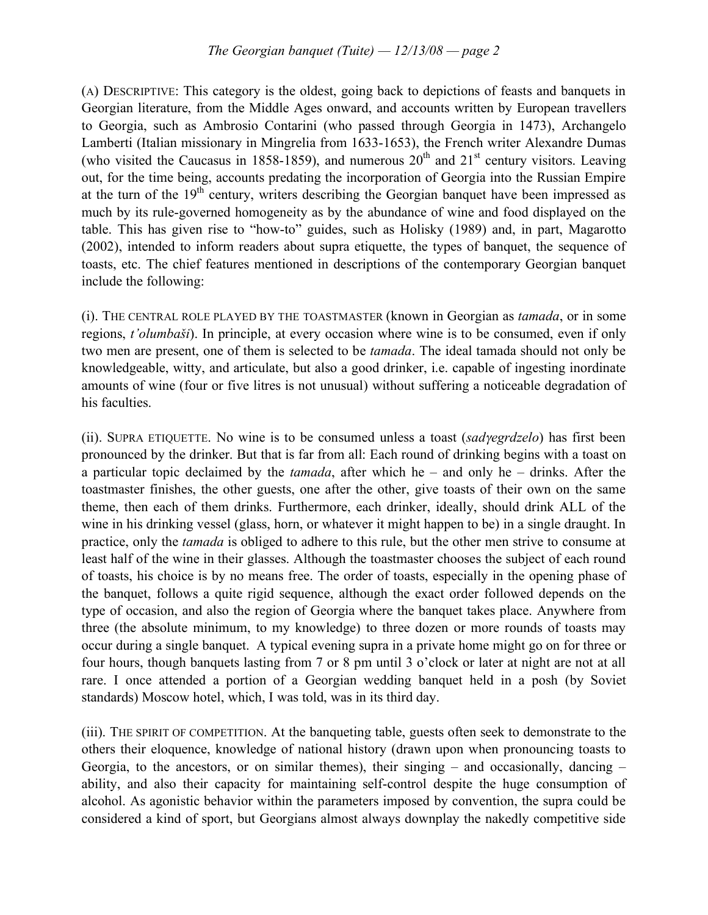(A) DESCRIPTIVE: This category is the oldest, going back to depictions of feasts and banquets in Georgian literature, from the Middle Ages onward, and accounts written by European travellers to Georgia, such as Ambrosio Contarini (who passed through Georgia in 1473), Archangelo Lamberti (Italian missionary in Mingrelia from 1633-1653), the French writer Alexandre Dumas (who visited the Caucasus in 1858-1859), and numerous  $20<sup>th</sup>$  and  $21<sup>st</sup>$  century visitors. Leaving out, for the time being, accounts predating the incorporation of Georgia into the Russian Empire at the turn of the  $19<sup>th</sup>$  century, writers describing the Georgian banquet have been impressed as much by its rule-governed homogeneity as by the abundance of wine and food displayed on the table. This has given rise to "how-to" guides, such as Holisky (1989) and, in part, Magarotto (2002), intended to inform readers about supra etiquette, the types of banquet, the sequence of toasts, etc. The chief features mentioned in descriptions of the contemporary Georgian banquet include the following:

(i). THE CENTRAL ROLE PLAYED BY THE TOASTMASTER (known in Georgian as *tamada*, or in some regions, *t'olumbaši*). In principle, at every occasion where wine is to be consumed, even if only two men are present, one of them is selected to be *tamada*. The ideal tamada should not only be knowledgeable, witty, and articulate, but also a good drinker, i.e. capable of ingesting inordinate amounts of wine (four or five litres is not unusual) without suffering a noticeable degradation of his faculties.

(ii). SUPRA ETIQUETTE. No wine is to be consumed unless a toast (*sad*γ*egrdzelo*) has first been pronounced by the drinker. But that is far from all: Each round of drinking begins with a toast on a particular topic declaimed by the *tamada*, after which he – and only he – drinks. After the toastmaster finishes, the other guests, one after the other, give toasts of their own on the same theme, then each of them drinks. Furthermore, each drinker, ideally, should drink ALL of the wine in his drinking vessel (glass, horn, or whatever it might happen to be) in a single draught. In practice, only the *tamada* is obliged to adhere to this rule, but the other men strive to consume at least half of the wine in their glasses. Although the toastmaster chooses the subject of each round of toasts, his choice is by no means free. The order of toasts, especially in the opening phase of the banquet, follows a quite rigid sequence, although the exact order followed depends on the type of occasion, and also the region of Georgia where the banquet takes place. Anywhere from three (the absolute minimum, to my knowledge) to three dozen or more rounds of toasts may occur during a single banquet. A typical evening supra in a private home might go on for three or four hours, though banquets lasting from 7 or 8 pm until 3 o'clock or later at night are not at all rare. I once attended a portion of a Georgian wedding banquet held in a posh (by Soviet standards) Moscow hotel, which, I was told, was in its third day.

(iii). THE SPIRIT OF COMPETITION. At the banqueting table, guests often seek to demonstrate to the others their eloquence, knowledge of national history (drawn upon when pronouncing toasts to Georgia, to the ancestors, or on similar themes), their singing – and occasionally, dancing – ability, and also their capacity for maintaining self-control despite the huge consumption of alcohol. As agonistic behavior within the parameters imposed by convention, the supra could be considered a kind of sport, but Georgians almost always downplay the nakedly competitive side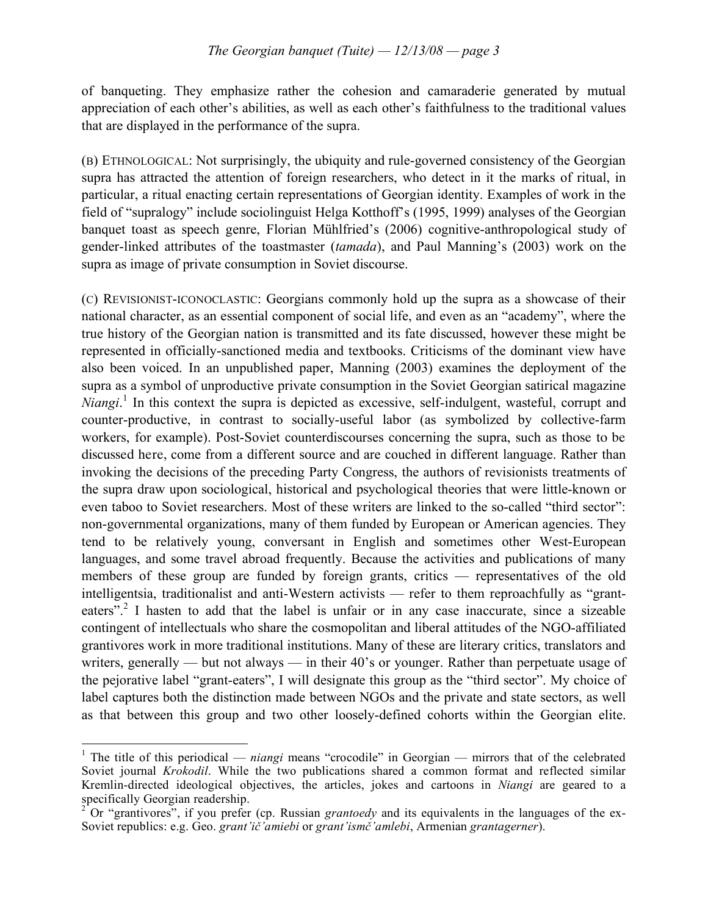of banqueting. They emphasize rather the cohesion and camaraderie generated by mutual appreciation of each other's abilities, as well as each other's faithfulness to the traditional values that are displayed in the performance of the supra.

(B) ETHNOLOGICAL: Not surprisingly, the ubiquity and rule-governed consistency of the Georgian supra has attracted the attention of foreign researchers, who detect in it the marks of ritual, in particular, a ritual enacting certain representations of Georgian identity. Examples of work in the field of "supralogy" include sociolinguist Helga Kotthoff's (1995, 1999) analyses of the Georgian banquet toast as speech genre, Florian Mühlfried's (2006) cognitive-anthropological study of gender-linked attributes of the toastmaster (*tamada*), and Paul Manning's (2003) work on the supra as image of private consumption in Soviet discourse.

(C) REVISIONIST-ICONOCLASTIC: Georgians commonly hold up the supra as a showcase of their national character, as an essential component of social life, and even as an "academy", where the true history of the Georgian nation is transmitted and its fate discussed, however these might be represented in officially-sanctioned media and textbooks. Criticisms of the dominant view have also been voiced. In an unpublished paper, Manning (2003) examines the deployment of the supra as a symbol of unproductive private consumption in the Soviet Georgian satirical magazine *Niangi*. <sup>1</sup> In this context the supra is depicted as excessive, self-indulgent, wasteful, corrupt and counter-productive, in contrast to socially-useful labor (as symbolized by collective-farm workers, for example). Post-Soviet counterdiscourses concerning the supra, such as those to be discussed here, come from a different source and are couched in different language. Rather than invoking the decisions of the preceding Party Congress, the authors of revisionists treatments of the supra draw upon sociological, historical and psychological theories that were little-known or even taboo to Soviet researchers. Most of these writers are linked to the so-called "third sector": non-governmental organizations, many of them funded by European or American agencies. They tend to be relatively young, conversant in English and sometimes other West-European languages, and some travel abroad frequently. Because the activities and publications of many members of these group are funded by foreign grants, critics — representatives of the old intelligentsia, traditionalist and anti-Western activists — refer to them reproachfully as "granteaters".<sup>2</sup> I hasten to add that the label is unfair or in any case inaccurate, since a sizeable contingent of intellectuals who share the cosmopolitan and liberal attitudes of the NGO-affiliated grantivores work in more traditional institutions. Many of these are literary critics, translators and writers, generally — but not always — in their 40's or younger. Rather than perpetuate usage of the pejorative label "grant-eaters", I will designate this group as the "third sector". My choice of label captures both the distinction made between NGOs and the private and state sectors, as well as that between this group and two other loosely-defined cohorts within the Georgian elite.

<sup>&</sup>lt;sup>1</sup> The title of this periodical — *niangi* means "crocodile" in Georgian — mirrors that of the celebrated Soviet journal *Krokodil*. While the two publications shared a common format and reflected similar Kremlin-directed ideological objectives, the articles, jokes and cartoons in *Niangi* are geared to a

Or "grantivores", if you prefer (cp. Russian *grantoedy* and its equivalents in the languages of the ex-Soviet republics: e.g. Geo. *grant'ič'amiebi* or *grant'ismč'amlebi*, Armenian *grantagerner*).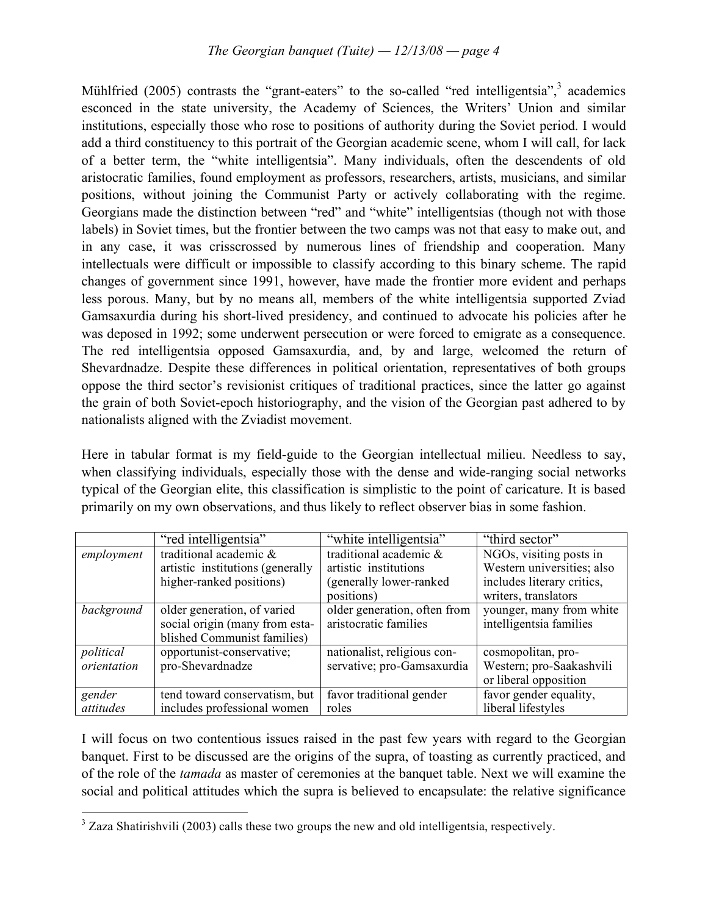Mühlfried (2005) contrasts the "grant-eaters" to the so-called "red intelligentsia",<sup>3</sup> academics esconced in the state university, the Academy of Sciences, the Writers' Union and similar institutions, especially those who rose to positions of authority during the Soviet period. I would add a third constituency to this portrait of the Georgian academic scene, whom I will call, for lack of a better term, the "white intelligentsia". Many individuals, often the descendents of old aristocratic families, found employment as professors, researchers, artists, musicians, and similar positions, without joining the Communist Party or actively collaborating with the regime. Georgians made the distinction between "red" and "white" intelligentsias (though not with those labels) in Soviet times, but the frontier between the two camps was not that easy to make out, and in any case, it was crisscrossed by numerous lines of friendship and cooperation. Many intellectuals were difficult or impossible to classify according to this binary scheme. The rapid changes of government since 1991, however, have made the frontier more evident and perhaps less porous. Many, but by no means all, members of the white intelligentsia supported Zviad Gamsaxurdia during his short-lived presidency, and continued to advocate his policies after he was deposed in 1992; some underwent persecution or were forced to emigrate as a consequence. The red intelligentsia opposed Gamsaxurdia, and, by and large, welcomed the return of Shevardnadze. Despite these differences in political orientation, representatives of both groups oppose the third sector's revisionist critiques of traditional practices, since the latter go against the grain of both Soviet-epoch historiography, and the vision of the Georgian past adhered to by nationalists aligned with the Zviadist movement.

Here in tabular format is my field-guide to the Georgian intellectual milieu. Needless to say, when classifying individuals, especially those with the dense and wide-ranging social networks typical of the Georgian elite, this classification is simplistic to the point of caricature. It is based primarily on my own observations, and thus likely to reflect observer bias in some fashion.

|             | "red intelligentsia"             | "white intelligentsia"       | "third sector"             |
|-------------|----------------------------------|------------------------------|----------------------------|
| employment  | traditional academic &           | traditional academic &       | NGOs, visiting posts in    |
|             | artistic institutions (generally | artistic institutions        | Western universities; also |
|             | higher-ranked positions)         | (generally lower-ranked)     | includes literary critics, |
|             |                                  | positions)                   | writers, translators       |
| background  | older generation, of varied      | older generation, often from | younger, many from white   |
|             | social origin (many from esta-   | aristocratic families        | intelligentsia families    |
|             | blished Communist families)      |                              |                            |
| political   | opportunist-conservative;        | nationalist, religious con-  | cosmopolitan, pro-         |
| orientation | pro-Shevardnadze                 | servative; pro-Gamsaxurdia   | Western; pro-Saakashvili   |
|             |                                  |                              | or liberal opposition      |
| gender      | tend toward conservatism, but    | favor traditional gender     | favor gender equality,     |
| attitudes   | includes professional women      | roles                        | liberal lifestyles         |

I will focus on two contentious issues raised in the past few years with regard to the Georgian banquet. First to be discussed are the origins of the supra, of toasting as currently practiced, and of the role of the *tamada* as master of ceremonies at the banquet table. Next we will examine the social and political attitudes which the supra is believed to encapsulate: the relative significance

<sup>&</sup>lt;sup>3</sup> Zaza Shatirishvili (2003) calls these two groups the new and old intelligentsia, respectively.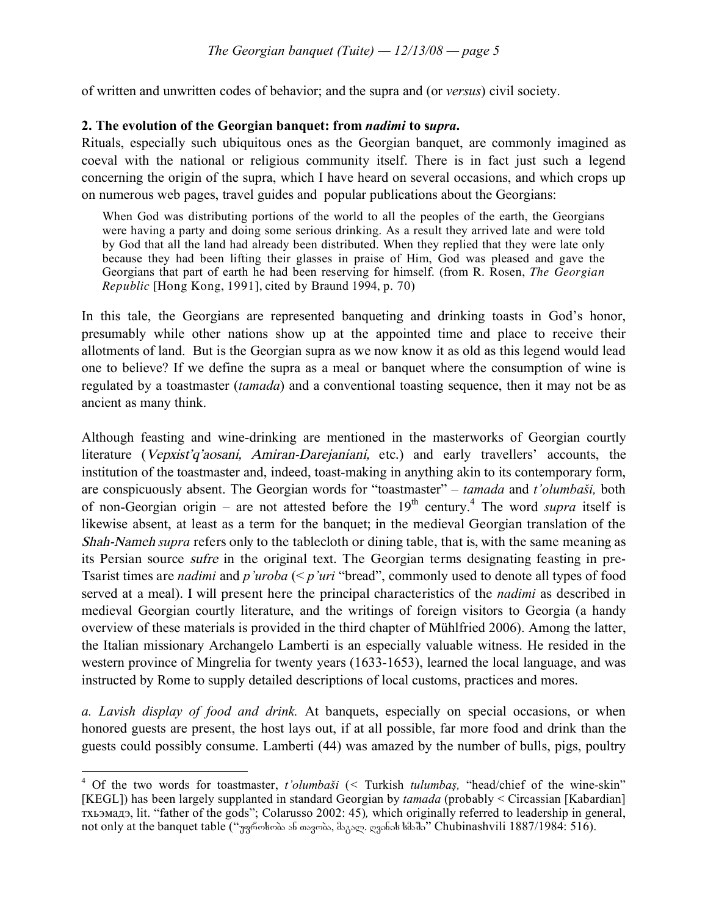of written and unwritten codes of behavior; and the supra and (or *versus*) civil society.

### **2. The evolution of the Georgian banquet: from** *nadimi* **to s***upra***.**

Rituals, especially such ubiquitous ones as the Georgian banquet, are commonly imagined as coeval with the national or religious community itself. There is in fact just such a legend concerning the origin of the supra, which I have heard on several occasions, and which crops up on numerous web pages, travel guides and popular publications about the Georgians:

When God was distributing portions of the world to all the peoples of the earth, the Georgians were having a party and doing some serious drinking. As a result they arrived late and were told by God that all the land had already been distributed. When they replied that they were late only because they had been lifting their glasses in praise of Him, God was pleased and gave the Georgians that part of earth he had been reserving for himself. (from R. Rosen, *The Georgian Republic* [Hong Kong, 1991], cited by Braund 1994, p. 70)

In this tale, the Georgians are represented banqueting and drinking toasts in God's honor, presumably while other nations show up at the appointed time and place to receive their allotments of land. But is the Georgian supra as we now know it as old as this legend would lead one to believe? If we define the supra as a meal or banquet where the consumption of wine is regulated by a toastmaster (*tamada*) and a conventional toasting sequence, then it may not be as ancient as many think.

Although feasting and wine-drinking are mentioned in the masterworks of Georgian courtly literature (Vepxist'q'aosani, Amiran-Darejaniani, etc.) and early travellers' accounts, the institution of the toastmaster and, indeed, toast-making in anything akin to its contemporary form, are conspicuously absent. The Georgian words for "toastmaster" – *tamada* and *t'olumbaši,* both of non-Georgian origin – are not attested before the  $19<sup>th</sup>$  century.<sup>4</sup> The word *supra* itself is likewise absent, at least as a term for the banquet; in the medieval Georgian translation of the Shah-Nameh *supra* refers only to the tablecloth or dining table, that is, with the same meaning as its Persian source sufre in the original text. The Georgian terms designating feasting in pre-Tsarist times are *nadimi* and *p'uroba* (< *p'uri* "bread", commonly used to denote all types of food served at a meal). I will present here the principal characteristics of the *nadimi* as described in medieval Georgian courtly literature, and the writings of foreign visitors to Georgia (a handy overview of these materials is provided in the third chapter of Mühlfried 2006). Among the latter, the Italian missionary Archangelo Lamberti is an especially valuable witness. He resided in the western province of Mingrelia for twenty years (1633-1653), learned the local language, and was instructed by Rome to supply detailed descriptions of local customs, practices and mores.

*a. Lavish display of food and drink.* At banquets, especially on special occasions, or when honored guests are present, the host lays out, if at all possible, far more food and drink than the guests could possibly consume. Lamberti (44) was amazed by the number of bulls, pigs, poultry

 <sup>4</sup> Of the two words for toastmaster, *t'olumbaš<sup>i</sup>* (*<sup>&</sup>lt;* Turkish *tulumbaş,* "head/chief of the wine-skin" [KEGL]) has been largely supplanted in standard Georgian by *tamada* (probably < Circassian [Kabardian] тхьэмадэ, lit. "father of the gods"; Colarusso 2002: 45)*,* which originally referred to leadership in general, not only at the banquet table ("უფროსობა ან თავობა, მაგალ. ღვინის სმაში" Chubinashvili 1887/1984: 516).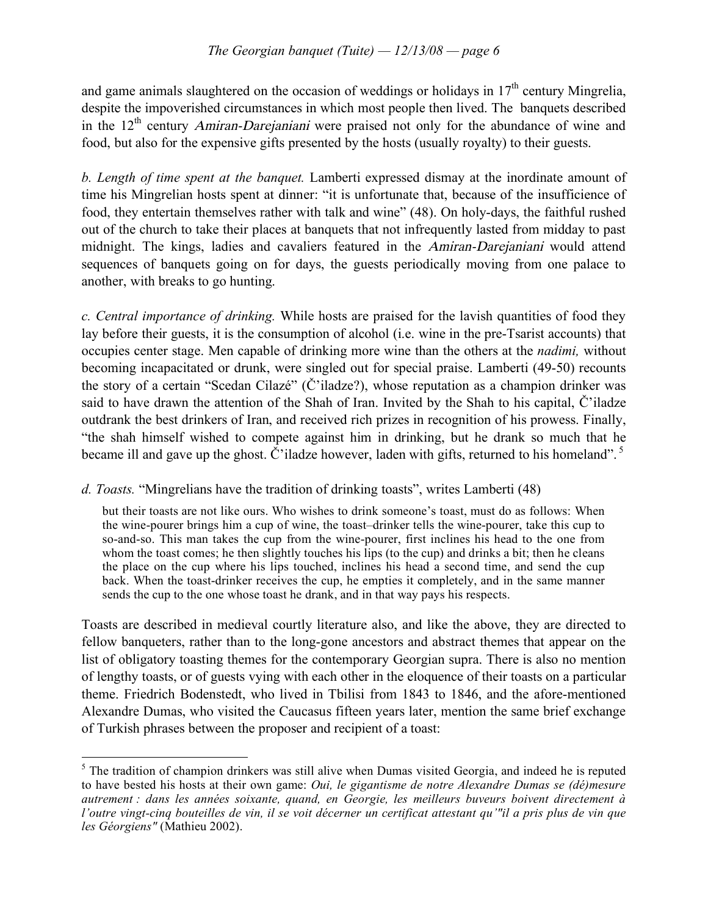and game animals slaughtered on the occasion of weddings or holidays in  $17<sup>th</sup>$  century Mingrelia, despite the impoverished circumstances in which most people then lived. The banquets described in the  $12<sup>th</sup>$  century Amiran-Darejaniani were praised not only for the abundance of wine and food, but also for the expensive gifts presented by the hosts (usually royalty) to their guests.

*b. Length of time spent at the banquet.* Lamberti expressed dismay at the inordinate amount of time his Mingrelian hosts spent at dinner: "it is unfortunate that, because of the insufficience of food, they entertain themselves rather with talk and wine" (48). On holy-days, the faithful rushed out of the church to take their places at banquets that not infrequently lasted from midday to past midnight. The kings, ladies and cavaliers featured in the Amiran-Darejaniani would attend sequences of banquets going on for days, the guests periodically moving from one palace to another, with breaks to go hunting.

*c. Central importance of drinking.* While hosts are praised for the lavish quantities of food they lay before their guests, it is the consumption of alcohol (i.e. wine in the pre-Tsarist accounts) that occupies center stage. Men capable of drinking more wine than the others at the *nadimi,* without becoming incapacitated or drunk, were singled out for special praise. Lamberti (49-50) recounts the story of a certain "Scedan Cilazé" (Č'iladze?), whose reputation as a champion drinker was said to have drawn the attention of the Shah of Iran. Invited by the Shah to his capital, Č'iladze outdrank the best drinkers of Iran, and received rich prizes in recognition of his prowess. Finally, "the shah himself wished to compete against him in drinking, but he drank so much that he became ill and gave up the ghost. Č'iladze however, laden with gifts, returned to his homeland".<sup>5</sup>

# *d. Toasts.* "Mingrelians have the tradition of drinking toasts", writes Lamberti (48)

but their toasts are not like ours. Who wishes to drink someone's toast, must do as follows: When the wine-pourer brings him a cup of wine, the toast–drinker tells the wine-pourer, take this cup to so-and-so. This man takes the cup from the wine-pourer, first inclines his head to the one from whom the toast comes; he then slightly touches his lips (to the cup) and drinks a bit; then he cleans the place on the cup where his lips touched, inclines his head a second time, and send the cup back. When the toast-drinker receives the cup, he empties it completely, and in the same manner sends the cup to the one whose toast he drank, and in that way pays his respects.

Toasts are described in medieval courtly literature also, and like the above, they are directed to fellow banqueters, rather than to the long-gone ancestors and abstract themes that appear on the list of obligatory toasting themes for the contemporary Georgian supra. There is also no mention of lengthy toasts, or of guests vying with each other in the eloquence of their toasts on a particular theme. Friedrich Bodenstedt, who lived in Tbilisi from 1843 to 1846, and the afore-mentioned Alexandre Dumas, who visited the Caucasus fifteen years later, mention the same brief exchange of Turkish phrases between the proposer and recipient of a toast:

<sup>&</sup>lt;sup>5</sup> The tradition of champion drinkers was still alive when Dumas visited Georgia, and indeed he is reputed to have bested his hosts at their own game: *Oui, le gigantisme de notre Alexandre Dumas se (dé)mesure autrement : dans les années soixante, quand, en Georgie, les meilleurs buveurs boivent directement à l'outre vingt-cinq bouteilles de vin, il se voit décerner un certificat attestant qu'"il a pris plus de vin que les Géorgiens"* (Mathieu 2002).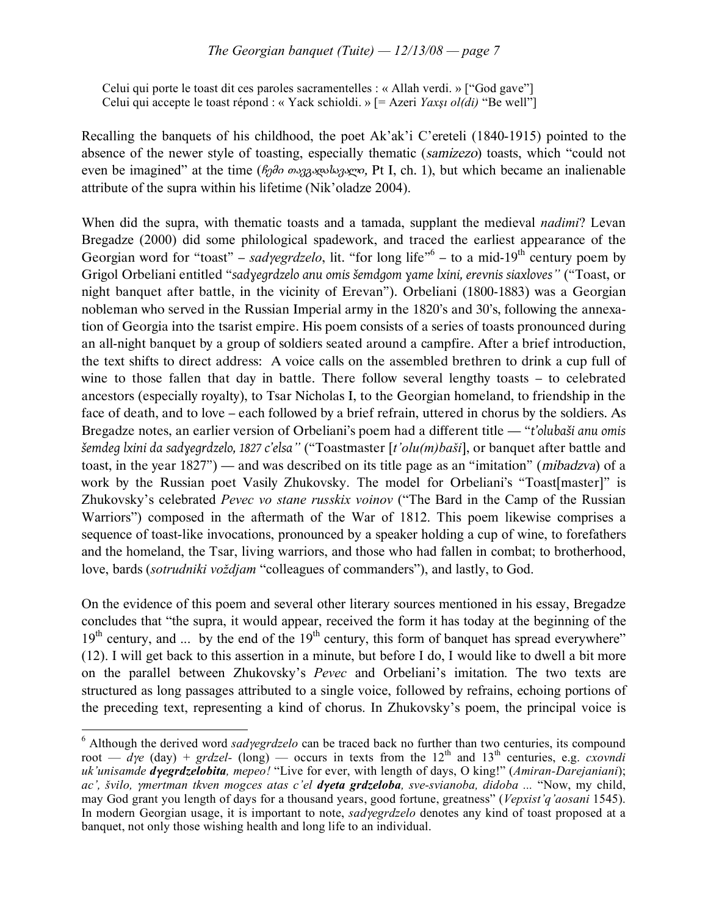Celui qui porte le toast dit ces paroles sacramentelles : « Allah verdi. » ["God gave"] Celui qui accepte le toast répond : « Yack schioldi. » [= Azeri *Yaxşı ol(di)* "Be well"]

Recalling the banquets of his childhood, the poet Ak'ak'i C'ereteli (1840-1915) pointed to the absence of the newer style of toasting, especially thematic (samizezo) toasts, which "could not even be imagined" at the time (βρθο συγρευμών, Pt I, ch. 1), but which became an inalienable attribute of the supra within his lifetime (Nik'oladze 2004).

When did the supra, with thematic toasts and a tamada, supplant the medieval *nadimi*? Levan Bregadze (2000) did some philological spadework, and traced the earliest appearance of the Georgian word for "toast" – *sadγegrdzelo*, lit. "for long life"<sup>6</sup> – to a mid-19<sup>th</sup> century poem by Grigol Orbeliani entitled "*sadɣegrdzelo anu omis šemdgom ɣame lxini, erevnis siaxloves"* ("Toast, or night banquet after battle, in the vicinity of Erevan"). Orbeliani (1800-1883) was a Georgian nobleman who served in the Russian Imperial army in the 1820's and 30's, following the annexation of Georgia into the tsarist empire. His poem consists of a series of toasts pronounced during an all-night banquet by a group of soldiers seated around a campfire. After a brief introduction, the text shifts to direct address: A voice calls on the assembled brethren to drink a cup full of wine to those fallen that day in battle. There follow several lengthy toasts – to celebrated ancestors (especially royalty), to Tsar Nicholas I, to the Georgian homeland, to friendship in the face of death, and to love – each followed by a brief refrain, uttered in chorus by the soldiers. As Bregadze notes, an earlier version of Orbeliani's poem had a different title — "*t'olubaši anu omis šemdeg lxini da sadɣegrdzelo, 1827 c'elsa"* ("Toastmaster [*t'olu(m)baši*], or banquet after battle and toast, in the year 1827") — and was described on its title page as an "imitation" (mibadzva) of a work by the Russian poet Vasily Zhukovsky. The model for Orbeliani's "Toast[master]" is Zhukovsky's celebrated *Pevec vo stane russkix voinov* ("The Bard in the Camp of the Russian Warriors") composed in the aftermath of the War of 1812. This poem likewise comprises a sequence of toast-like invocations, pronounced by a speaker holding a cup of wine, to forefathers and the homeland, the Tsar, living warriors, and those who had fallen in combat; to brotherhood, love, bards (*sotrudniki voždjam* "colleagues of commanders"), and lastly, to God.

On the evidence of this poem and several other literary sources mentioned in his essay, Bregadze concludes that "the supra, it would appear, received the form it has today at the beginning of the  $19<sup>th</sup>$  century, and ... by the end of the  $19<sup>th</sup>$  century, this form of banquet has spread everywhere" (12). I will get back to this assertion in a minute, but before I do, I would like to dwell a bit more on the parallel between Zhukovsky's *Pevec* and Orbeliani's imitation. The two texts are structured as long passages attributed to a single voice, followed by refrains, echoing portions of the preceding text, representing a kind of chorus. In Zhukovsky's poem, the principal voice is

 <sup>6</sup> Although the derived word *sad*γ*egrdzelo* can be traced back no further than two centuries, its compound root —  $dye$  (day) + *grdzel-* (long) — occurs in texts from the 12<sup>th</sup> and 13<sup>th</sup> centuries, e.g. *cxovndi uk'unisamde d*γ*egrdzelobita, mepeo!* "Live for ever, with length of days, O king!" (*Amiran-Darejaniani*); *ac', švilo,* <sup>γ</sup>*mertman tkven mogces atas c'el d*γ*eta grdzeloba, sve-svianoba, didoba ...* "Now, my child, may God grant you length of days for a thousand years, good fortune, greatness" (*Vepxist'q'aosani* 1545). In modern Georgian usage, it is important to note, *sad*γ*egrdzelo* denotes any kind of toast proposed at a banquet, not only those wishing health and long life to an individual.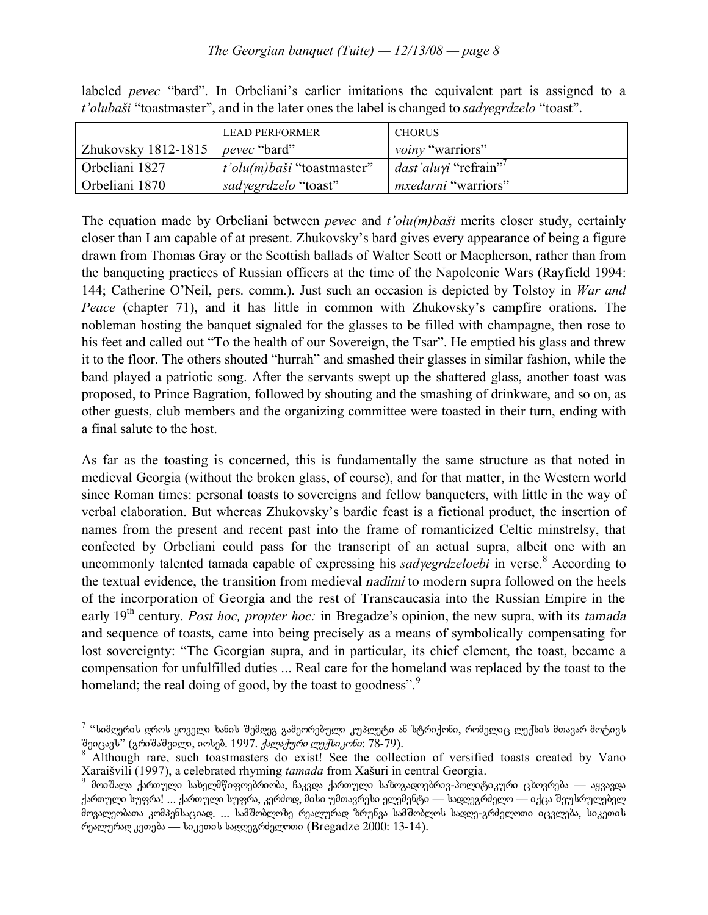### *The Georgian banquet (Tuite) — 12/13/08 — page 8*

|                                    | LEAD PERFORMER                    | <b>CHORUS</b>               |
|------------------------------------|-----------------------------------|-----------------------------|
| Zhukovsky 1812-1815   pevec "bard" |                                   | <i>voiny</i> "warriors"     |
| Orbeliani 1827                     | <i>t'olu(m)baši</i> "toastmaster" | <i>dast'aluyi</i> "refrain" |
| Orbeliani 1870                     | <i>sadyegrdzelo</i> "toast"       | <i>mxedarni</i> "warriors"  |

labeled *pevec* "bard". In Orbeliani's earlier imitations the equivalent part is assigned to a *t'olubaši* "toastmaster", and in the later ones the label is changed to *sad*γ*egrdzelo* "toast".

The equation made by Orbeliani between *pevec* and *t'olu(m)baši* merits closer study, certainly closer than I am capable of at present. Zhukovsky's bard gives every appearance of being a figure drawn from Thomas Gray or the Scottish ballads of Walter Scott or Macpherson, rather than from the banqueting practices of Russian officers at the time of the Napoleonic Wars (Rayfield 1994: 144; Catherine O'Neil, pers. comm.). Just such an occasion is depicted by Tolstoy in *War and Peace* (chapter 71), and it has little in common with Zhukovsky's campfire orations. The nobleman hosting the banquet signaled for the glasses to be filled with champagne, then rose to his feet and called out "To the health of our Sovereign, the Tsar". He emptied his glass and threw it to the floor. The others shouted "hurrah" and smashed their glasses in similar fashion, while the band played a patriotic song. After the servants swept up the shattered glass, another toast was proposed, to Prince Bagration, followed by shouting and the smashing of drinkware, and so on, as other guests, club members and the organizing committee were toasted in their turn, ending with a final salute to the host.

As far as the toasting is concerned, this is fundamentally the same structure as that noted in medieval Georgia (without the broken glass, of course), and for that matter, in the Western world since Roman times: personal toasts to sovereigns and fellow banqueters, with little in the way of verbal elaboration. But whereas Zhukovsky's bardic feast is a fictional product, the insertion of names from the present and recent past into the frame of romanticized Celtic minstrelsy, that confected by Orbeliani could pass for the transcript of an actual supra, albeit one with an uncommonly talented tamada capable of expressing his *sad*γ*egrdzeloebi* in verse. <sup>8</sup> According to the textual evidence, the transition from medieval nadimi to modern supra followed on the heels of the incorporation of Georgia and the rest of Transcaucasia into the Russian Empire in the early 19th century. *Post hoc, propter hoc:* in Bregadze's opinion, the new supra, with its tamada and sequence of toasts, came into being precisely as a means of symbolically compensating for lost sovereignty: "The Georgian supra, and in particular, its chief element, the toast, became a compensation for unfulfilled duties ... Real care for the homeland was replaced by the toast to the homeland; the real doing of good, by the toast to goodness".<sup>9</sup>

<sup>&</sup>lt;sup>7 იე</sup>სიმღერის დროს ყოველი ხანის შემდეგ გამეორებული კუპლეტი ან სტრიქონი, რომელიც ლექსის მთავარ მოტივს<br>შეიცავს'' (გრიშაშვილი, იოსებ. 1997. *ქალაქური ლექსიკონი*: 78-79).

Although rare, such toastmasters do exist! See the collection of versified toasts created by Vano Xaraišvili (1997), a celebrated rhyming *tamada* from Xašuri in central Georgia.<br><sup>9</sup> მოიშალა ქართული სახელმწიფოებრიობა, ჩაკვდა ქართული საზოგადოებრივ-პოლიტიკური ცხოვრება — აყვავდა

ქართული სუფრა! ... ქართული სუფრა, კერძოდ, მისი უმთავრესი ელემენტი — სადღეგრძელო — იქცა შეუსრულებელ მოვალეობათა კომპენსაციად. ... სამშობლოზე რეალურად ზრუნვა სამშობლოს სადღე-გრძელოთი იცვლება, სიკეთის რეალურად კეთება — სიკეთის სადღეგრძელოთი (Bregadze 2000: 13-14).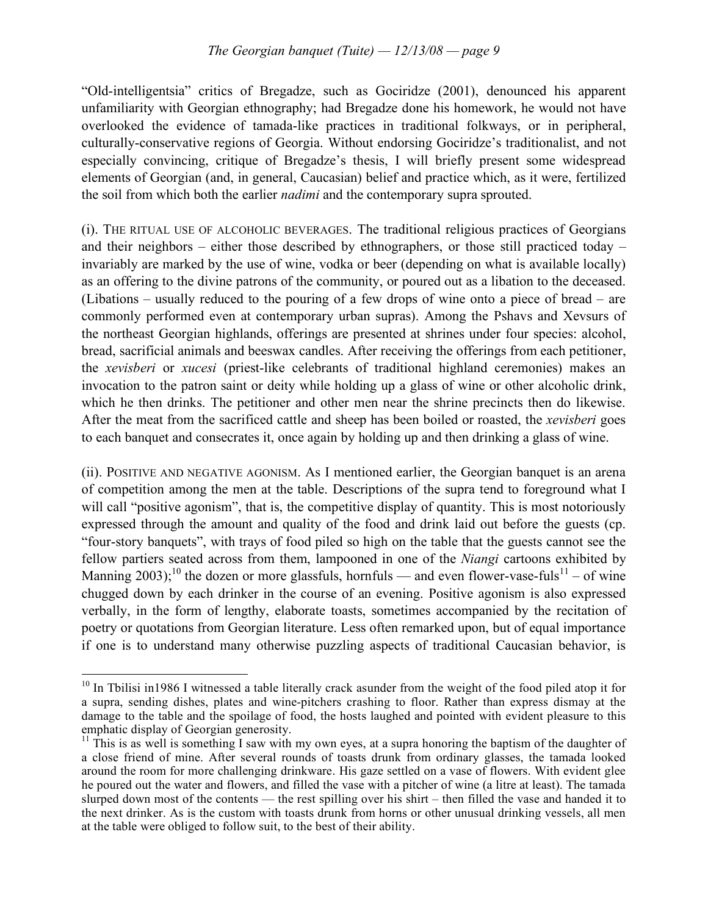"Old-intelligentsia" critics of Bregadze, such as Gociridze (2001), denounced his apparent unfamiliarity with Georgian ethnography; had Bregadze done his homework, he would not have overlooked the evidence of tamada-like practices in traditional folkways, or in peripheral, culturally-conservative regions of Georgia. Without endorsing Gociridze's traditionalist, and not especially convincing, critique of Bregadze's thesis, I will briefly present some widespread elements of Georgian (and, in general, Caucasian) belief and practice which, as it were, fertilized the soil from which both the earlier *nadimi* and the contemporary supra sprouted.

(i). THE RITUAL USE OF ALCOHOLIC BEVERAGES. The traditional religious practices of Georgians and their neighbors – either those described by ethnographers, or those still practiced today – invariably are marked by the use of wine, vodka or beer (depending on what is available locally) as an offering to the divine patrons of the community, or poured out as a libation to the deceased. (Libations – usually reduced to the pouring of a few drops of wine onto a piece of bread – are commonly performed even at contemporary urban supras). Among the Pshavs and Xevsurs of the northeast Georgian highlands, offerings are presented at shrines under four species: alcohol, bread, sacrificial animals and beeswax candles. After receiving the offerings from each petitioner, the *xevisberi* or *xucesi* (priest-like celebrants of traditional highland ceremonies) makes an invocation to the patron saint or deity while holding up a glass of wine or other alcoholic drink, which he then drinks. The petitioner and other men near the shrine precincts then do likewise. After the meat from the sacrificed cattle and sheep has been boiled or roasted, the *xevisberi* goes to each banquet and consecrates it, once again by holding up and then drinking a glass of wine.

(ii). POSITIVE AND NEGATIVE AGONISM. As I mentioned earlier, the Georgian banquet is an arena of competition among the men at the table. Descriptions of the supra tend to foreground what I will call "positive agonism", that is, the competitive display of quantity. This is most notoriously expressed through the amount and quality of the food and drink laid out before the guests (cp. "four-story banquets", with trays of food piled so high on the table that the guests cannot see the fellow partiers seated across from them, lampooned in one of the *Niangi* cartoons exhibited by Manning 2003);<sup>10</sup> the dozen or more glassfuls, hornfuls — and even flower-vase-fuls<sup>11</sup> – of wine chugged down by each drinker in the course of an evening. Positive agonism is also expressed verbally, in the form of lengthy, elaborate toasts, sometimes accompanied by the recitation of poetry or quotations from Georgian literature. Less often remarked upon, but of equal importance if one is to understand many otherwise puzzling aspects of traditional Caucasian behavior, is

<sup>&</sup>lt;sup>10</sup> In Tbilisi in1986 I witnessed a table literally crack asunder from the weight of the food piled atop it for a supra, sending dishes, plates and wine-pitchers crashing to floor. Rather than express dismay at the damage to the table and the spoilage of food, the hosts laughed and pointed with evident pleasure to this emphatic display of Georgian generosity.<br><sup>11</sup> This is as well is something I saw with my own eyes, at a supra honoring the baptism of the daughter of

a close friend of mine. After several rounds of toasts drunk from ordinary glasses, the tamada looked around the room for more challenging drinkware. His gaze settled on a vase of flowers. With evident glee he poured out the water and flowers, and filled the vase with a pitcher of wine (a litre at least). The tamada slurped down most of the contents — the rest spilling over his shirt – then filled the vase and handed it to the next drinker. As is the custom with toasts drunk from horns or other unusual drinking vessels, all men at the table were obliged to follow suit, to the best of their ability.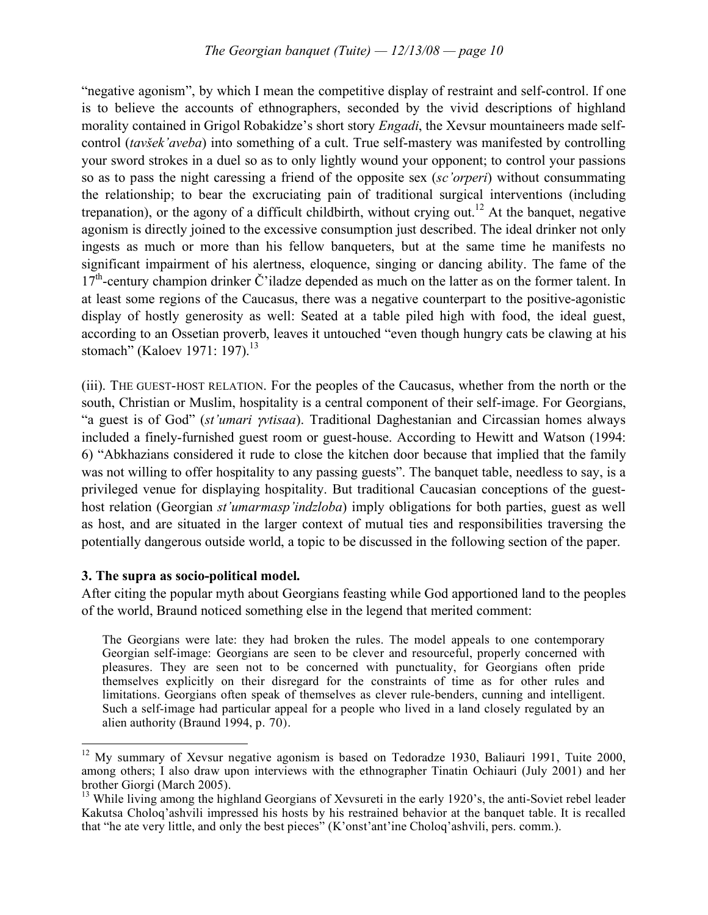"negative agonism", by which I mean the competitive display of restraint and self-control. If one is to believe the accounts of ethnographers, seconded by the vivid descriptions of highland morality contained in Grigol Robakidze's short story *Engadi*, the Xevsur mountaineers made selfcontrol (*tavšek'aveba*) into something of a cult. True self-mastery was manifested by controlling your sword strokes in a duel so as to only lightly wound your opponent; to control your passions so as to pass the night caressing a friend of the opposite sex (*sc'orperi*) without consummating the relationship; to bear the excruciating pain of traditional surgical interventions (including trepanation), or the agony of a difficult childbirth, without crying out.<sup>12</sup> At the banquet, negative agonism is directly joined to the excessive consumption just described. The ideal drinker not only ingests as much or more than his fellow banqueters, but at the same time he manifests no significant impairment of his alertness, eloquence, singing or dancing ability. The fame of the 17<sup>th</sup>-century champion drinker Č'iladze depended as much on the latter as on the former talent. In at least some regions of the Caucasus, there was a negative counterpart to the positive-agonistic display of hostly generosity as well: Seated at a table piled high with food, the ideal guest, according to an Ossetian proverb, leaves it untouched "even though hungry cats be clawing at his stomach" (Kaloev 1971: 197).<sup>13</sup>

(iii). THE GUEST-HOST RELATION. For the peoples of the Caucasus, whether from the north or the south, Christian or Muslim, hospitality is a central component of their self-image. For Georgians, "a guest is of God" (*st'umari* <sup>γ</sup>*vtisaa*). Traditional Daghestanian and Circassian homes always included a finely-furnished guest room or guest-house. According to Hewitt and Watson (1994: 6) "Abkhazians considered it rude to close the kitchen door because that implied that the family was not willing to offer hospitality to any passing guests". The banquet table, needless to say, is a privileged venue for displaying hospitality. But traditional Caucasian conceptions of the guesthost relation (Georgian *st'umarmasp'indzloba*) imply obligations for both parties, guest as well as host, and are situated in the larger context of mutual ties and responsibilities traversing the potentially dangerous outside world, a topic to be discussed in the following section of the paper.

### **3. The supra as socio-political model.**

After citing the popular myth about Georgians feasting while God apportioned land to the peoples of the world, Braund noticed something else in the legend that merited comment:

The Georgians were late: they had broken the rules. The model appeals to one contemporary Georgian self-image: Georgians are seen to be clever and resourceful, properly concerned with pleasures. They are seen not to be concerned with punctuality, for Georgians often pride themselves explicitly on their disregard for the constraints of time as for other rules and limitations. Georgians often speak of themselves as clever rule-benders, cunning and intelligent. Such a self-image had particular appeal for a people who lived in a land closely regulated by an alien authority (Braund 1994, p. 70).

<sup>&</sup>lt;sup>12</sup> My summary of Xevsur negative agonism is based on Tedoradze 1930, Baliauri 1991, Tuite 2000, among others; I also draw upon interviews with the ethnographer Tinatin Ochiauri (July 2001) and her brother Giorgi (March 2005).<br><sup>13</sup> While living among the highland Georgians of Xevsureti in the early 1920's, the anti-Soviet rebel leader

Kakutsa Choloq'ashvili impressed his hosts by his restrained behavior at the banquet table. It is recalled that "he ate very little, and only the best pieces" (K'onst'ant'ine Choloq'ashvili, pers. comm.).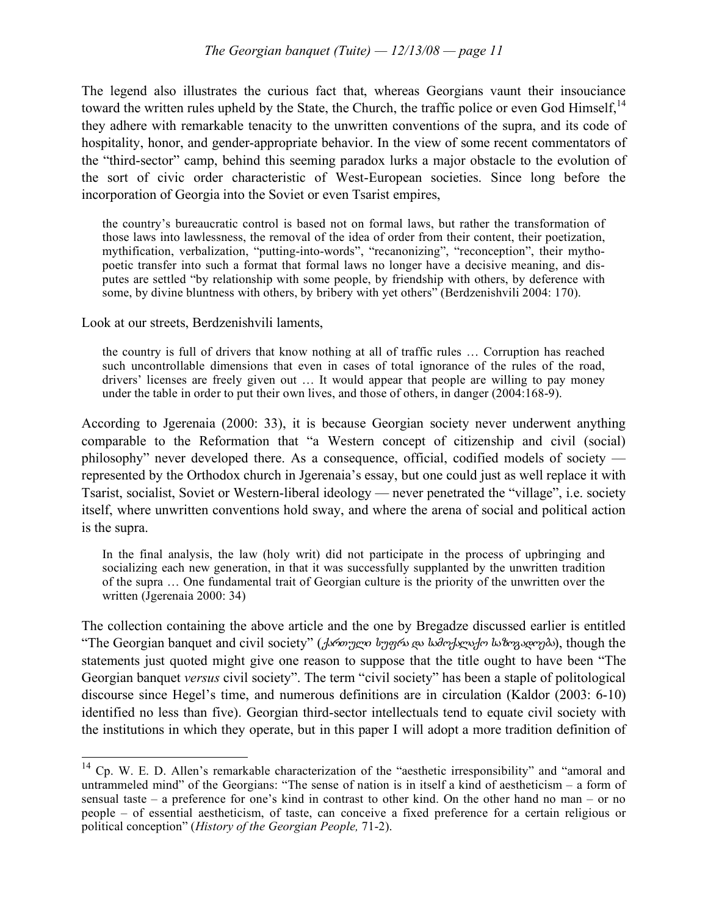The legend also illustrates the curious fact that, whereas Georgians vaunt their insouciance toward the written rules upheld by the State, the Church, the traffic police or even God Himself,<sup>14</sup> they adhere with remarkable tenacity to the unwritten conventions of the supra, and its code of hospitality, honor, and gender-appropriate behavior. In the view of some recent commentators of the "third-sector" camp, behind this seeming paradox lurks a major obstacle to the evolution of the sort of civic order characteristic of West-European societies. Since long before the incorporation of Georgia into the Soviet or even Tsarist empires,

the country's bureaucratic control is based not on formal laws, but rather the transformation of those laws into lawlessness, the removal of the idea of order from their content, their poetization, mythification, verbalization, "putting-into-words", "recanonizing", "reconception", their mythopoetic transfer into such a format that formal laws no longer have a decisive meaning, and disputes are settled "by relationship with some people, by friendship with others, by deference with some, by divine bluntness with others, by bribery with yet others" (Berdzenishvili 2004: 170).

Look at our streets, Berdzenishvili laments,

the country is full of drivers that know nothing at all of traffic rules … Corruption has reached such uncontrollable dimensions that even in cases of total ignorance of the rules of the road, drivers' licenses are freely given out … It would appear that people are willing to pay money under the table in order to put their own lives, and those of others, in danger (2004:168-9).

According to Jgerenaia (2000: 33), it is because Georgian society never underwent anything comparable to the Reformation that "a Western concept of citizenship and civil (social) philosophy" never developed there. As a consequence, official, codified models of society represented by the Orthodox church in Jgerenaia's essay, but one could just as well replace it with Tsarist, socialist, Soviet or Western-liberal ideology — never penetrated the "village", i.e. society itself, where unwritten conventions hold sway, and where the arena of social and political action is the supra.

In the final analysis, the law (holy writ) did not participate in the process of upbringing and socializing each new generation, in that it was successfully supplanted by the unwritten tradition of the supra … One fundamental trait of Georgian culture is the priority of the unwritten over the written (Jgerenaia 2000: 34)

The collection containing the above article and the one by Bregadze discussed earlier is entitled "The Georgian banquet and civil society" (ქართული
სუფრა და სამოქალაქო საზოგადოება), though the statements just quoted might give one reason to suppose that the title ought to have been "The Georgian banquet *versus* civil society". The term "civil society" has been a staple of politological discourse since Hegel's time, and numerous definitions are in circulation (Kaldor (2003: 6-10) identified no less than five). Georgian third-sector intellectuals tend to equate civil society with the institutions in which they operate, but in this paper I will adopt a more tradition definition of

<sup>&</sup>lt;sup>14</sup> Cp. W. E. D. Allen's remarkable characterization of the "aesthetic irresponsibility" and "amoral and untrammeled mind" of the Georgians: "The sense of nation is in itself a kind of aestheticism – a form of sensual taste – a preference for one's kind in contrast to other kind. On the other hand no man – or no people – of essential aestheticism, of taste, can conceive a fixed preference for a certain religious or political conception" (*History of the Georgian People,* 71-2).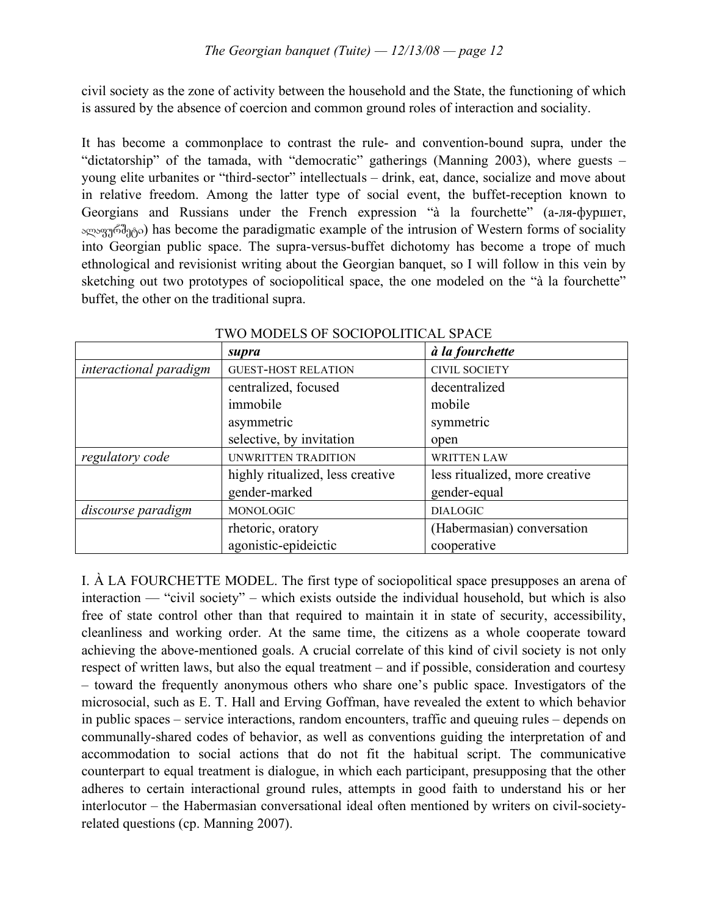civil society as the zone of activity between the household and the State, the functioning of which is assured by the absence of coercion and common ground roles of interaction and sociality.

It has become a commonplace to contrast the rule- and convention-bound supra, under the "dictatorship" of the tamada, with "democratic" gatherings (Manning 2003), where guests – young elite urbanites or "third-sector" intellectuals – drink, eat, dance, socialize and move about in relative freedom. Among the latter type of social event, the buffet-reception known to Georgians and Russians under the French expression "à la fourchette" (а-ля-фуршет, ალაფურშეტი) has become the paradigmatic example of the intrusion of Western forms of sociality into Georgian public space. The supra-versus-buffet dichotomy has become a trope of much ethnological and revisionist writing about the Georgian banquet, so I will follow in this vein by sketching out two prototypes of sociopolitical space, the one modeled on the "à la fourchette" buffet, the other on the traditional supra.

|                        | supra                            | à la fourchette                |
|------------------------|----------------------------------|--------------------------------|
| interactional paradigm | <b>GUEST-HOST RELATION</b>       | <b>CIVIL SOCIETY</b>           |
|                        | centralized, focused             | decentralized                  |
|                        | immobile                         | mobile                         |
|                        | asymmetric                       | symmetric                      |
|                        | selective, by invitation         | open                           |
| regulatory code        | UNWRITTEN TRADITION              | <b>WRITTEN LAW</b>             |
|                        | highly ritualized, less creative | less ritualized, more creative |
|                        | gender-marked                    | gender-equal                   |
| discourse paradigm     | MONOLOGIC                        | <b>DIALOGIC</b>                |
|                        | rhetoric, oratory                | (Habermasian) conversation     |
|                        | agonistic-epideictic             | cooperative                    |

TWO MODELS OF SOCIOPOLITICAL SPACE

I. À LA FOURCHETTE MODEL. The first type of sociopolitical space presupposes an arena of interaction — "civil society" – which exists outside the individual household, but which is also free of state control other than that required to maintain it in state of security, accessibility, cleanliness and working order. At the same time, the citizens as a whole cooperate toward achieving the above-mentioned goals. A crucial correlate of this kind of civil society is not only respect of written laws, but also the equal treatment – and if possible, consideration and courtesy – toward the frequently anonymous others who share one's public space. Investigators of the microsocial, such as E. T. Hall and Erving Goffman, have revealed the extent to which behavior in public spaces – service interactions, random encounters, traffic and queuing rules – depends on communally-shared codes of behavior, as well as conventions guiding the interpretation of and accommodation to social actions that do not fit the habitual script. The communicative counterpart to equal treatment is dialogue, in which each participant, presupposing that the other adheres to certain interactional ground rules, attempts in good faith to understand his or her interlocutor – the Habermasian conversational ideal often mentioned by writers on civil-societyrelated questions (cp. Manning 2007).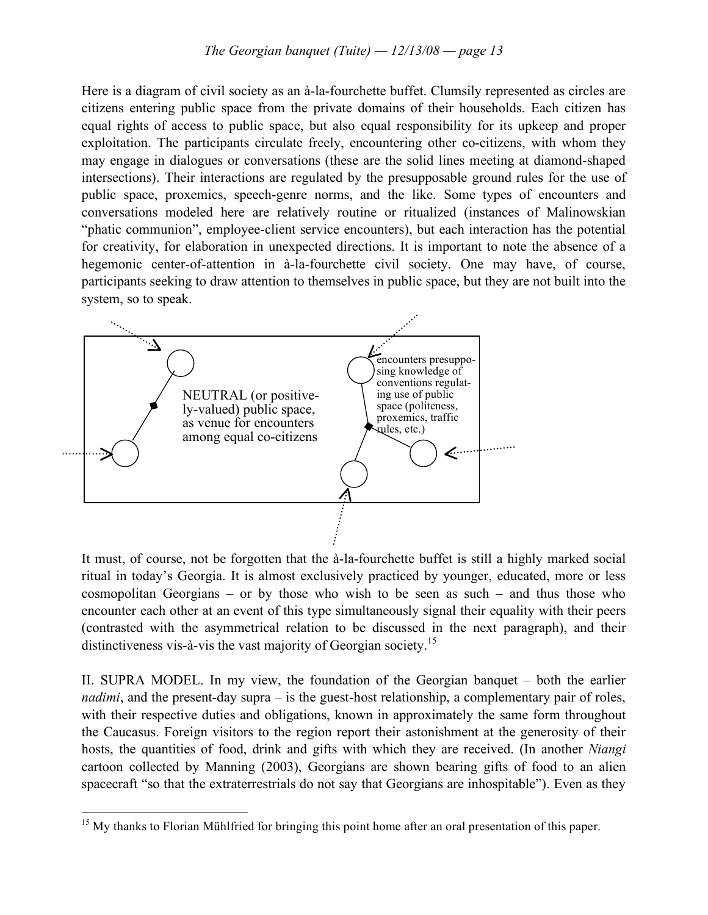Here is a diagram of civil society as an à-la-fourchette buffet. Clumsily represented as circles are citizens entering public space from the private domains of their households. Each citizen has equal rights of access to public space, but also equal responsibility for its upkeep and proper exploitation. The participants circulate freely, encountering other co-citizens, with whom they may engage in dialogues or conversations (these are the solid lines meeting at diamond-shaped intersections). Their interactions are regulated by the presupposable ground rules for the use of public space, proxemics, speech-genre norms, and the like. Some types of encounters and conversations modeled here are relatively routine or ritualized (instances of Malinowskian "phatic communion", employee-client service encounters), but each interaction has the potential for creativity, for elaboration in unexpected directions. It is important to note the absence of a hegemonic center-of-attention in à-la-fourchette civil society. One may have, of course, participants seeking to draw attention to themselves in public space, but they are not built into the system, so to speak.



It must, of course, not be forgotten that the à-la-fourchette buffet is still a highly marked social ritual in today's Georgia. It is almost exclusively practiced by younger, educated, more or less cosmopolitan Georgians – or by those who wish to be seen as such – and thus those who encounter each other at an event of this type simultaneously signal their equality with their peers (contrasted with the asymmetrical relation to be discussed in the next paragraph), and their distinctiveness vis-à-vis the vast majority of Georgian society.<sup>15</sup>

II. SUPRA MODEL. In my view, the foundation of the Georgian banquet – both the earlier *nadimi*, and the present-day supra – is the guest-host relationship, a complementary pair of roles, with their respective duties and obligations, known in approximately the same form throughout the Caucasus. Foreign visitors to the region report their astonishment at the generosity of their hosts, the quantities of food, drink and gifts with which they are received. (In another *Niangi* cartoon collected by Manning (2003), Georgians are shown bearing gifts of food to an alien spacecraft "so that the extraterrestrials do not say that Georgians are inhospitable"). Even as they

<sup>&</sup>lt;sup>15</sup> My thanks to Florian Mühlfried for bringing this point home after an oral presentation of this paper.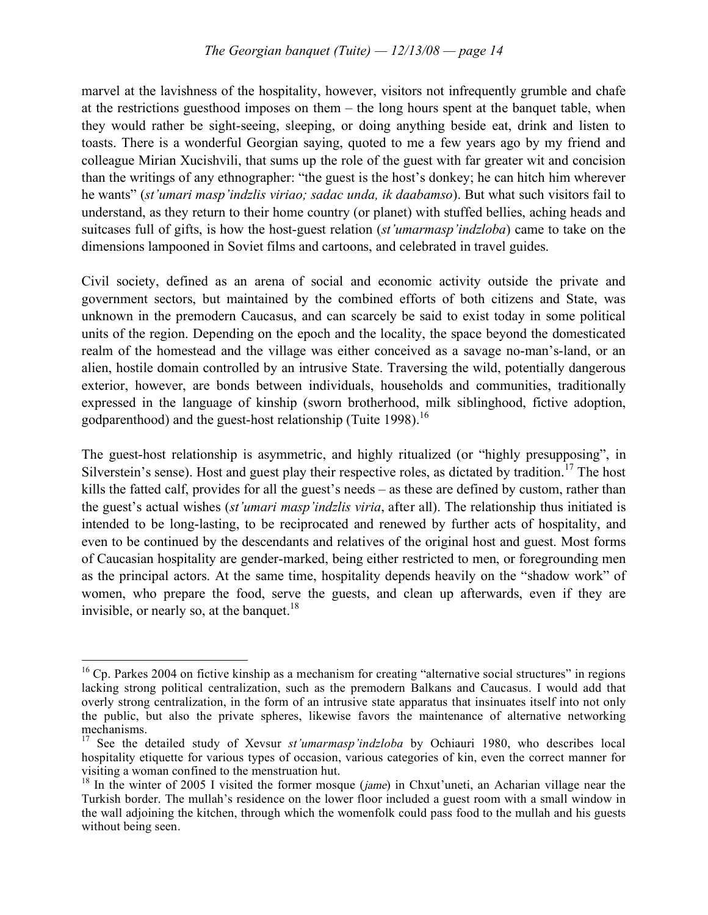marvel at the lavishness of the hospitality, however, visitors not infrequently grumble and chafe at the restrictions guesthood imposes on them – the long hours spent at the banquet table, when they would rather be sight-seeing, sleeping, or doing anything beside eat, drink and listen to toasts. There is a wonderful Georgian saying, quoted to me a few years ago by my friend and colleague Mirian Xucishvili, that sums up the role of the guest with far greater wit and concision than the writings of any ethnographer: "the guest is the host's donkey; he can hitch him wherever he wants" (*st'umari masp'indzlis viriao; sadac unda, ik daabamso*). But what such visitors fail to understand, as they return to their home country (or planet) with stuffed bellies, aching heads and suitcases full of gifts, is how the host-guest relation (*st'umarmasp'indzloba*) came to take on the dimensions lampooned in Soviet films and cartoons, and celebrated in travel guides.

Civil society, defined as an arena of social and economic activity outside the private and government sectors, but maintained by the combined efforts of both citizens and State, was unknown in the premodern Caucasus, and can scarcely be said to exist today in some political units of the region. Depending on the epoch and the locality, the space beyond the domesticated realm of the homestead and the village was either conceived as a savage no-man's-land, or an alien, hostile domain controlled by an intrusive State. Traversing the wild, potentially dangerous exterior, however, are bonds between individuals, households and communities, traditionally expressed in the language of kinship (sworn brotherhood, milk siblinghood, fictive adoption, godparenthood) and the guest-host relationship (Tuite 1998).<sup>16</sup>

The guest-host relationship is asymmetric, and highly ritualized (or "highly presupposing", in Silverstein's sense). Host and guest play their respective roles, as dictated by tradition.<sup>17</sup> The host kills the fatted calf, provides for all the guest's needs – as these are defined by custom, rather than the guest's actual wishes (*st'umari masp'indzlis viria*, after all). The relationship thus initiated is intended to be long-lasting, to be reciprocated and renewed by further acts of hospitality, and even to be continued by the descendants and relatives of the original host and guest. Most forms of Caucasian hospitality are gender-marked, being either restricted to men, or foregrounding men as the principal actors. At the same time, hospitality depends heavily on the "shadow work" of women, who prepare the food, serve the guests, and clean up afterwards, even if they are invisible, or nearly so, at the banquet.<sup>18</sup>

<sup>&</sup>lt;sup>16</sup> Cp. Parkes 2004 on fictive kinship as a mechanism for creating "alternative social structures" in regions lacking strong political centralization, such as the premodern Balkans and Caucasus. I would add that overly strong centralization, in the form of an intrusive state apparatus that insinuates itself into not only the public, but also the private spheres, likewise favors the maintenance of alternative networking

<sup>&</sup>lt;sup>17</sup> See the detailed study of Xevsur *st'umarmasp'indzloba* by Ochiauri 1980, who describes local hospitality etiquette for various types of occasion, various categories of kin, even the correct manner for visiting a woman confined to the menstruation hut.<br><sup>18</sup> In the winter of 2005 I visited the former mosque (*jame*) in Chxut'uneti, an Acharian village near the

Turkish border. The mullah's residence on the lower floor included a guest room with a small window in the wall adjoining the kitchen, through which the womenfolk could pass food to the mullah and his guests without being seen.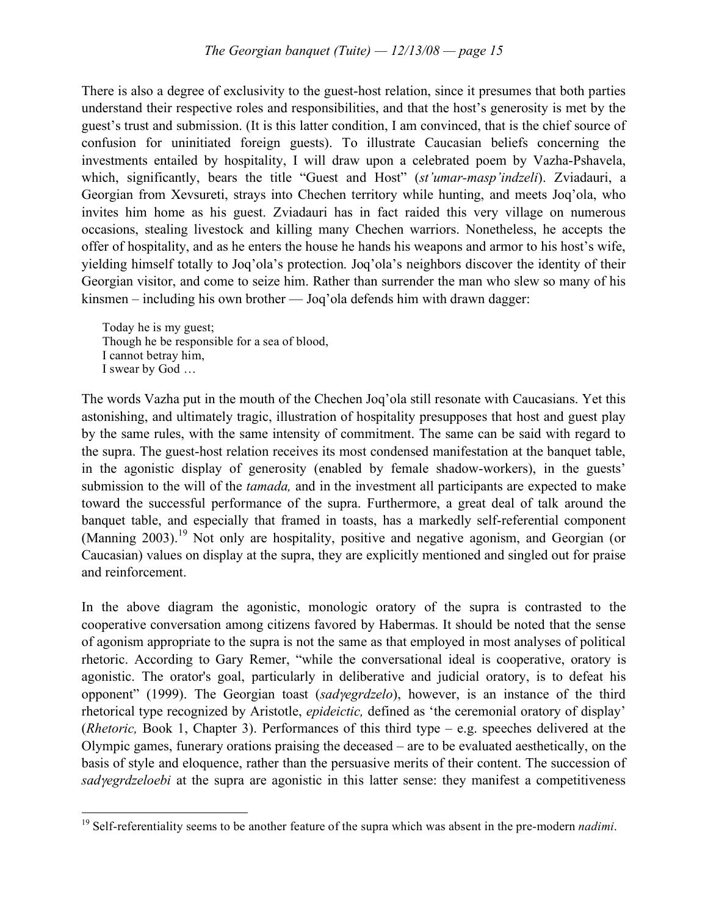There is also a degree of exclusivity to the guest-host relation, since it presumes that both parties understand their respective roles and responsibilities, and that the host's generosity is met by the guest's trust and submission. (It is this latter condition, I am convinced, that is the chief source of confusion for uninitiated foreign guests). To illustrate Caucasian beliefs concerning the investments entailed by hospitality, I will draw upon a celebrated poem by Vazha-Pshavela, which, significantly, bears the title "Guest and Host" (*st'umar-masp'indzeli*). Zviadauri, a Georgian from Xevsureti, strays into Chechen territory while hunting, and meets Joq'ola, who invites him home as his guest. Zviadauri has in fact raided this very village on numerous occasions, stealing livestock and killing many Chechen warriors. Nonetheless, he accepts the offer of hospitality, and as he enters the house he hands his weapons and armor to his host's wife, yielding himself totally to Joq'ola's protection. Joq'ola's neighbors discover the identity of their Georgian visitor, and come to seize him. Rather than surrender the man who slew so many of his kinsmen – including his own brother — Joq'ola defends him with drawn dagger:

Today he is my guest; Though he be responsible for a sea of blood, I cannot betray him, I swear by God …

The words Vazha put in the mouth of the Chechen Joq'ola still resonate with Caucasians. Yet this astonishing, and ultimately tragic, illustration of hospitality presupposes that host and guest play by the same rules, with the same intensity of commitment. The same can be said with regard to the supra. The guest-host relation receives its most condensed manifestation at the banquet table, in the agonistic display of generosity (enabled by female shadow-workers), in the guests' submission to the will of the *tamada,* and in the investment all participants are expected to make toward the successful performance of the supra. Furthermore, a great deal of talk around the banquet table, and especially that framed in toasts, has a markedly self-referential component (Manning 2003).<sup>19</sup> Not only are hospitality, positive and negative agonism, and Georgian (or Caucasian) values on display at the supra, they are explicitly mentioned and singled out for praise and reinforcement.

In the above diagram the agonistic, monologic oratory of the supra is contrasted to the cooperative conversation among citizens favored by Habermas. It should be noted that the sense of agonism appropriate to the supra is not the same as that employed in most analyses of political rhetoric. According to Gary Remer, "while the conversational ideal is cooperative, oratory is agonistic. The orator's goal, particularly in deliberative and judicial oratory, is to defeat his opponent" (1999). The Georgian toast (*sad*γ*egrdzelo*), however, is an instance of the third rhetorical type recognized by Aristotle, *epideictic,* defined as 'the ceremonial oratory of display' (*Rhetoric,* Book 1, Chapter 3). Performances of this third type – e.g. speeches delivered at the Olympic games, funerary orations praising the deceased – are to be evaluated aesthetically, on the basis of style and eloquence, rather than the persuasive merits of their content. The succession of *sad*γ*egrdzeloebi* at the supra are agonistic in this latter sense: they manifest a competitiveness

 <sup>19</sup> Self-referentiality seems to be another feature of the supra which was absent in the pre-modern *nadimi*.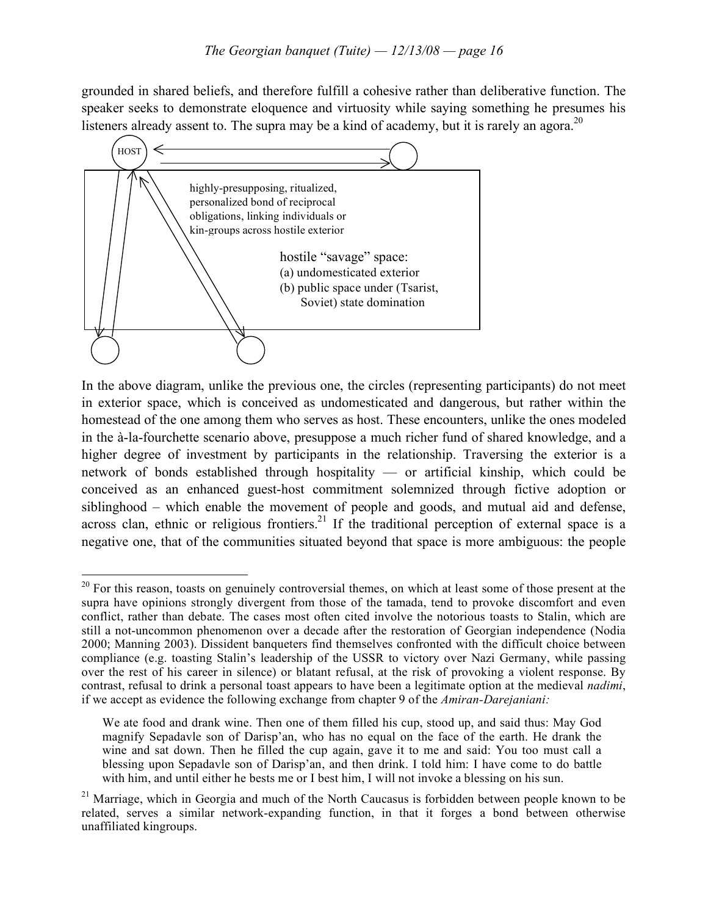grounded in shared beliefs, and therefore fulfill a cohesive rather than deliberative function. The speaker seeks to demonstrate eloquence and virtuosity while saying something he presumes his listeners already assent to. The supra may be a kind of academy, but it is rarely an agora.<sup>20</sup>



In the above diagram, unlike the previous one, the circles (representing participants) do not meet in exterior space, which is conceived as undomesticated and dangerous, but rather within the homestead of the one among them who serves as host. These encounters, unlike the ones modeled in the à-la-fourchette scenario above, presuppose a much richer fund of shared knowledge, and a higher degree of investment by participants in the relationship. Traversing the exterior is a network of bonds established through hospitality — or artificial kinship, which could be conceived as an enhanced guest-host commitment solemnized through fictive adoption or siblinghood – which enable the movement of people and goods, and mutual aid and defense, across clan, ethnic or religious frontiers.<sup>21</sup> If the traditional perception of external space is a negative one, that of the communities situated beyond that space is more ambiguous: the people

<sup>&</sup>lt;sup>20</sup> For this reason, toasts on genuinely controversial themes, on which at least some of those present at the supra have opinions strongly divergent from those of the tamada, tend to provoke discomfort and even conflict, rather than debate. The cases most often cited involve the notorious toasts to Stalin, which are still a not-uncommon phenomenon over a decade after the restoration of Georgian independence (Nodia 2000; Manning 2003). Dissident banqueters find themselves confronted with the difficult choice between compliance (e.g. toasting Stalin's leadership of the USSR to victory over Nazi Germany, while passing over the rest of his career in silence) or blatant refusal, at the risk of provoking a violent response. By contrast, refusal to drink a personal toast appears to have been a legitimate option at the medieval *nadimi*, if we accept as evidence the following exchange from chapter 9 of the *Amiran-Darejaniani:*

We ate food and drank wine. Then one of them filled his cup, stood up, and said thus: May God magnify Sepadavle son of Darisp'an, who has no equal on the face of the earth. He drank the wine and sat down. Then he filled the cup again, gave it to me and said: You too must call a blessing upon Sepadavle son of Darisp'an, and then drink. I told him: I have come to do battle with him, and until either he bests me or I best him, I will not invoke a blessing on his sun.

<sup>&</sup>lt;sup>21</sup> Marriage, which in Georgia and much of the North Caucasus is forbidden between people known to be related, serves a similar network-expanding function, in that it forges a bond between otherwise unaffiliated kingroups.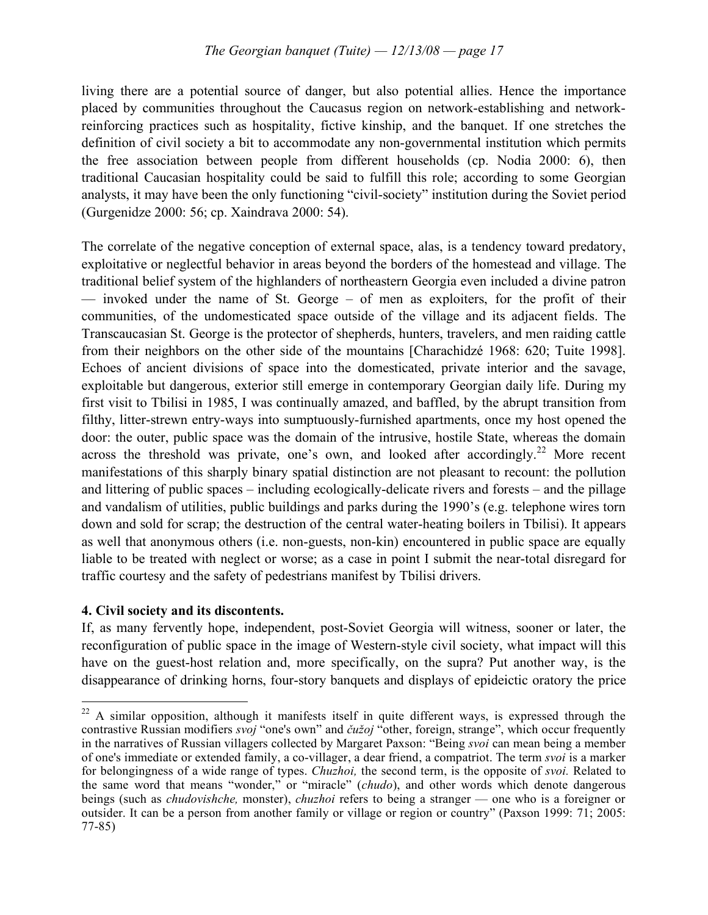living there are a potential source of danger, but also potential allies. Hence the importance placed by communities throughout the Caucasus region on network-establishing and networkreinforcing practices such as hospitality, fictive kinship, and the banquet. If one stretches the definition of civil society a bit to accommodate any non-governmental institution which permits the free association between people from different households (cp. Nodia 2000: 6), then traditional Caucasian hospitality could be said to fulfill this role; according to some Georgian analysts, it may have been the only functioning "civil-society" institution during the Soviet period (Gurgenidze 2000: 56; cp. Xaindrava 2000: 54).

The correlate of the negative conception of external space, alas, is a tendency toward predatory, exploitative or neglectful behavior in areas beyond the borders of the homestead and village. The traditional belief system of the highlanders of northeastern Georgia even included a divine patron — invoked under the name of St. George – of men as exploiters, for the profit of their communities, of the undomesticated space outside of the village and its adjacent fields. The Transcaucasian St. George is the protector of shepherds, hunters, travelers, and men raiding cattle from their neighbors on the other side of the mountains [Charachidzé 1968: 620; Tuite 1998]. Echoes of ancient divisions of space into the domesticated, private interior and the savage, exploitable but dangerous, exterior still emerge in contemporary Georgian daily life. During my first visit to Tbilisi in 1985, I was continually amazed, and baffled, by the abrupt transition from filthy, litter-strewn entry-ways into sumptuously-furnished apartments, once my host opened the door: the outer, public space was the domain of the intrusive, hostile State, whereas the domain across the threshold was private, one's own, and looked after accordingly.<sup>22</sup> More recent manifestations of this sharply binary spatial distinction are not pleasant to recount: the pollution and littering of public spaces – including ecologically-delicate rivers and forests – and the pillage and vandalism of utilities, public buildings and parks during the 1990's (e.g. telephone wires torn down and sold for scrap; the destruction of the central water-heating boilers in Tbilisi). It appears as well that anonymous others (i.e. non-guests, non-kin) encountered in public space are equally liable to be treated with neglect or worse; as a case in point I submit the near-total disregard for traffic courtesy and the safety of pedestrians manifest by Tbilisi drivers.

# **4. Civil society and its discontents.**

If, as many fervently hope, independent, post-Soviet Georgia will witness, sooner or later, the reconfiguration of public space in the image of Western-style civil society, what impact will this have on the guest-host relation and, more specifically, on the supra? Put another way, is the disappearance of drinking horns, four-story banquets and displays of epideictic oratory the price

<sup>&</sup>lt;sup>22</sup> A similar opposition, although it manifests itself in quite different ways, is expressed through the contrastive Russian modifiers *svoj* "one's own" and *čužoj* "other, foreign, strange", which occur frequently in the narratives of Russian villagers collected by Margaret Paxson: "Being *svoi* can mean being a member of one's immediate or extended family, a co-villager, a dear friend, a compatriot. The term *svoi* is a marker for belongingness of a wide range of types. *Chuzhoi,* the second term, is the opposite of *svoi.* Related to the same word that means "wonder," or "miracle" (*chudo*), and other words which denote dangerous beings (such as *chudovishche,* monster), *chuzhoi* refers to being a stranger — one who is a foreigner or outsider. It can be a person from another family or village or region or country" (Paxson 1999: 71; 2005: 77-85)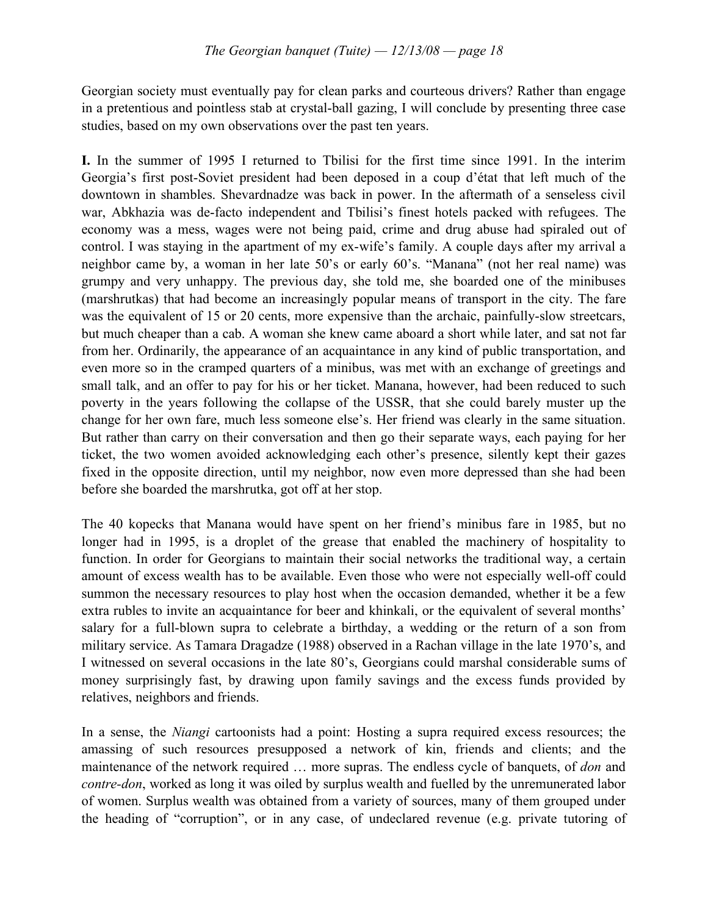Georgian society must eventually pay for clean parks and courteous drivers? Rather than engage in a pretentious and pointless stab at crystal-ball gazing, I will conclude by presenting three case studies, based on my own observations over the past ten years.

**I.** In the summer of 1995 I returned to Tbilisi for the first time since 1991. In the interim Georgia's first post-Soviet president had been deposed in a coup d'état that left much of the downtown in shambles. Shevardnadze was back in power. In the aftermath of a senseless civil war, Abkhazia was de-facto independent and Tbilisi's finest hotels packed with refugees. The economy was a mess, wages were not being paid, crime and drug abuse had spiraled out of control. I was staying in the apartment of my ex-wife's family. A couple days after my arrival a neighbor came by, a woman in her late 50's or early 60's. "Manana" (not her real name) was grumpy and very unhappy. The previous day, she told me, she boarded one of the minibuses (marshrutkas) that had become an increasingly popular means of transport in the city. The fare was the equivalent of 15 or 20 cents, more expensive than the archaic, painfully-slow streetcars, but much cheaper than a cab. A woman she knew came aboard a short while later, and sat not far from her. Ordinarily, the appearance of an acquaintance in any kind of public transportation, and even more so in the cramped quarters of a minibus, was met with an exchange of greetings and small talk, and an offer to pay for his or her ticket. Manana, however, had been reduced to such poverty in the years following the collapse of the USSR, that she could barely muster up the change for her own fare, much less someone else's. Her friend was clearly in the same situation. But rather than carry on their conversation and then go their separate ways, each paying for her ticket, the two women avoided acknowledging each other's presence, silently kept their gazes fixed in the opposite direction, until my neighbor, now even more depressed than she had been before she boarded the marshrutka, got off at her stop.

The 40 kopecks that Manana would have spent on her friend's minibus fare in 1985, but no longer had in 1995, is a droplet of the grease that enabled the machinery of hospitality to function. In order for Georgians to maintain their social networks the traditional way, a certain amount of excess wealth has to be available. Even those who were not especially well-off could summon the necessary resources to play host when the occasion demanded, whether it be a few extra rubles to invite an acquaintance for beer and khinkali, or the equivalent of several months' salary for a full-blown supra to celebrate a birthday, a wedding or the return of a son from military service. As Tamara Dragadze (1988) observed in a Rachan village in the late 1970's, and I witnessed on several occasions in the late 80's, Georgians could marshal considerable sums of money surprisingly fast, by drawing upon family savings and the excess funds provided by relatives, neighbors and friends.

In a sense, the *Niangi* cartoonists had a point: Hosting a supra required excess resources; the amassing of such resources presupposed a network of kin, friends and clients; and the maintenance of the network required … more supras. The endless cycle of banquets, of *don* and *contre-don*, worked as long it was oiled by surplus wealth and fuelled by the unremunerated labor of women. Surplus wealth was obtained from a variety of sources, many of them grouped under the heading of "corruption", or in any case, of undeclared revenue (e.g. private tutoring of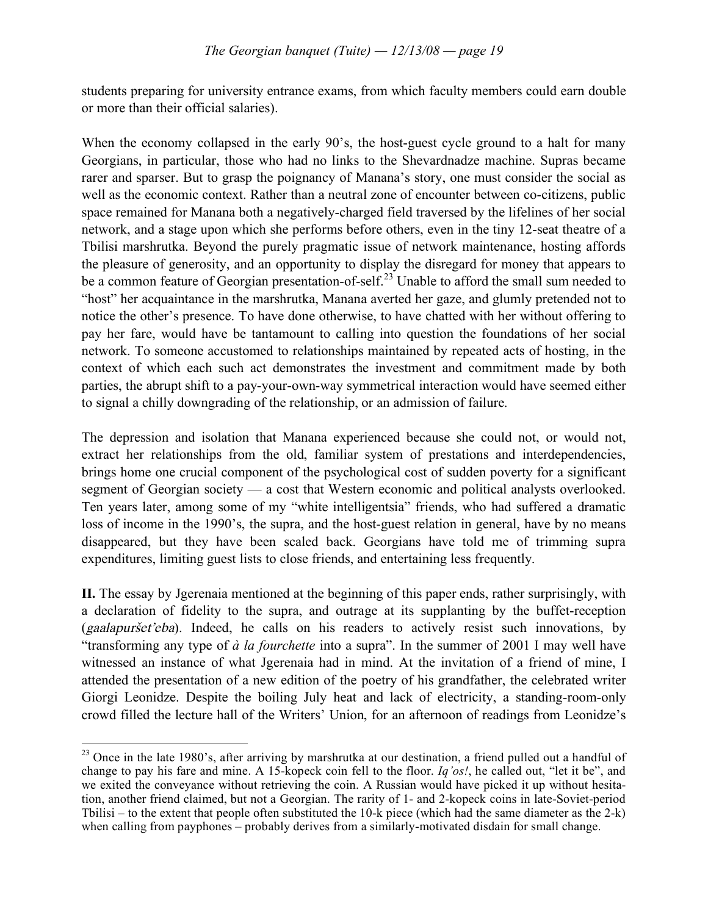students preparing for university entrance exams, from which faculty members could earn double or more than their official salaries).

When the economy collapsed in the early 90's, the host-guest cycle ground to a halt for many Georgians, in particular, those who had no links to the Shevardnadze machine. Supras became rarer and sparser. But to grasp the poignancy of Manana's story, one must consider the social as well as the economic context. Rather than a neutral zone of encounter between co-citizens, public space remained for Manana both a negatively-charged field traversed by the lifelines of her social network, and a stage upon which she performs before others, even in the tiny 12-seat theatre of a Tbilisi marshrutka. Beyond the purely pragmatic issue of network maintenance, hosting affords the pleasure of generosity, and an opportunity to display the disregard for money that appears to be a common feature of Georgian presentation-of-self.<sup>23</sup> Unable to afford the small sum needed to "host" her acquaintance in the marshrutka, Manana averted her gaze, and glumly pretended not to notice the other's presence. To have done otherwise, to have chatted with her without offering to pay her fare, would have be tantamount to calling into question the foundations of her social network. To someone accustomed to relationships maintained by repeated acts of hosting, in the context of which each such act demonstrates the investment and commitment made by both parties, the abrupt shift to a pay-your-own-way symmetrical interaction would have seemed either to signal a chilly downgrading of the relationship, or an admission of failure.

The depression and isolation that Manana experienced because she could not, or would not, extract her relationships from the old, familiar system of prestations and interdependencies, brings home one crucial component of the psychological cost of sudden poverty for a significant segment of Georgian society — a cost that Western economic and political analysts overlooked. Ten years later, among some of my "white intelligentsia" friends, who had suffered a dramatic loss of income in the 1990's, the supra, and the host-guest relation in general, have by no means disappeared, but they have been scaled back. Georgians have told me of trimming supra expenditures, limiting guest lists to close friends, and entertaining less frequently.

**II.** The essay by Jgerenaia mentioned at the beginning of this paper ends, rather surprisingly, with a declaration of fidelity to the supra, and outrage at its supplanting by the buffet-reception (gaalapuršet'eba). Indeed, he calls on his readers to actively resist such innovations, by "transforming any type of *à la fourchette* into a supra". In the summer of 2001 I may well have witnessed an instance of what Jgerenaia had in mind. At the invitation of a friend of mine, I attended the presentation of a new edition of the poetry of his grandfather, the celebrated writer Giorgi Leonidze. Despite the boiling July heat and lack of electricity, a standing-room-only crowd filled the lecture hall of the Writers' Union, for an afternoon of readings from Leonidze's

<sup>&</sup>lt;sup>23</sup> Once in the late 1980's, after arriving by marshrutka at our destination, a friend pulled out a handful of change to pay his fare and mine. A 15-kopeck coin fell to the floor. *Iq'os!*, he called out, "let it be", and we exited the conveyance without retrieving the coin. A Russian would have picked it up without hesitation, another friend claimed, but not a Georgian. The rarity of 1- and 2-kopeck coins in late-Soviet-period Tbilisi – to the extent that people often substituted the 10-k piece (which had the same diameter as the 2-k) when calling from payphones – probably derives from a similarly-motivated disdain for small change.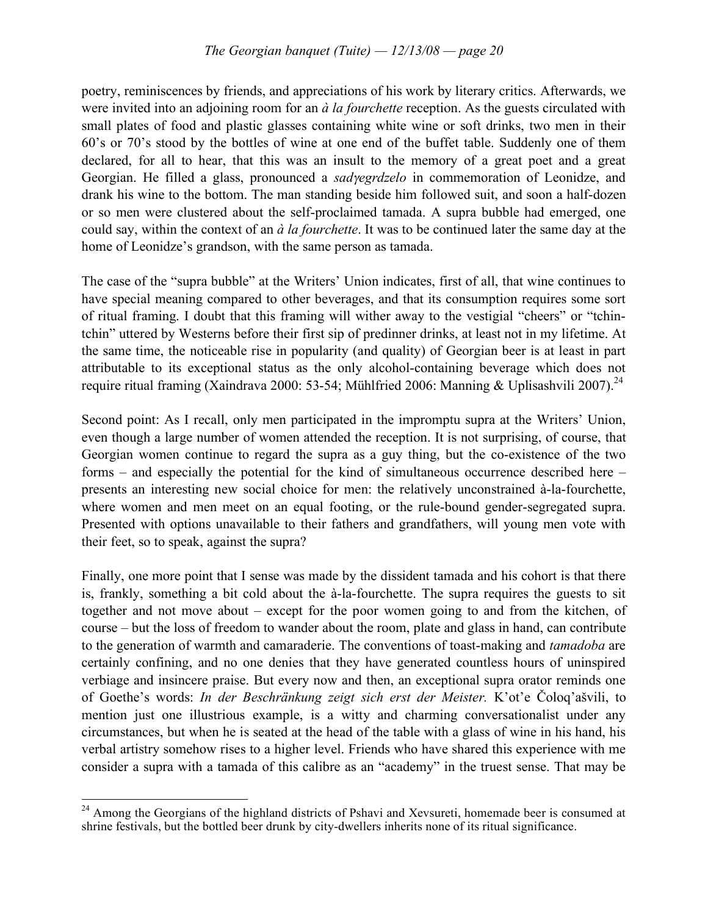poetry, reminiscences by friends, and appreciations of his work by literary critics. Afterwards, we were invited into an adjoining room for an *à la fourchette* reception. As the guests circulated with small plates of food and plastic glasses containing white wine or soft drinks, two men in their 60's or 70's stood by the bottles of wine at one end of the buffet table. Suddenly one of them declared, for all to hear, that this was an insult to the memory of a great poet and a great Georgian. He filled a glass, pronounced a *sad*γ*egrdzelo* in commemoration of Leonidze, and drank his wine to the bottom. The man standing beside him followed suit, and soon a half-dozen or so men were clustered about the self-proclaimed tamada. A supra bubble had emerged, one could say, within the context of an *à la fourchette*. It was to be continued later the same day at the home of Leonidze's grandson, with the same person as tamada.

The case of the "supra bubble" at the Writers' Union indicates, first of all, that wine continues to have special meaning compared to other beverages, and that its consumption requires some sort of ritual framing. I doubt that this framing will wither away to the vestigial "cheers" or "tchintchin" uttered by Westerns before their first sip of predinner drinks, at least not in my lifetime. At the same time, the noticeable rise in popularity (and quality) of Georgian beer is at least in part attributable to its exceptional status as the only alcohol-containing beverage which does not require ritual framing (Xaindrava 2000: 53-54; Mühlfried 2006: Manning & Uplisashvili 2007).<sup>24</sup>

Second point: As I recall, only men participated in the impromptu supra at the Writers' Union, even though a large number of women attended the reception. It is not surprising, of course, that Georgian women continue to regard the supra as a guy thing, but the co-existence of the two forms – and especially the potential for the kind of simultaneous occurrence described here – presents an interesting new social choice for men: the relatively unconstrained à-la-fourchette, where women and men meet on an equal footing, or the rule-bound gender-segregated supra. Presented with options unavailable to their fathers and grandfathers, will young men vote with their feet, so to speak, against the supra?

Finally, one more point that I sense was made by the dissident tamada and his cohort is that there is, frankly, something a bit cold about the à-la-fourchette. The supra requires the guests to sit together and not move about – except for the poor women going to and from the kitchen, of course – but the loss of freedom to wander about the room, plate and glass in hand, can contribute to the generation of warmth and camaraderie. The conventions of toast-making and *tamadoba* are certainly confining, and no one denies that they have generated countless hours of uninspired verbiage and insincere praise. But every now and then, an exceptional supra orator reminds one of Goethe's words: *In der Beschränkung zeigt sich erst der Meister.* K'ot'e Čoloq'ašvili, to mention just one illustrious example, is a witty and charming conversationalist under any circumstances, but when he is seated at the head of the table with a glass of wine in his hand, his verbal artistry somehow rises to a higher level. Friends who have shared this experience with me consider a supra with a tamada of this calibre as an "academy" in the truest sense. That may be

<sup>&</sup>lt;sup>24</sup> Among the Georgians of the highland districts of Pshavi and Xevsureti, homemade beer is consumed at shrine festivals, but the bottled beer drunk by city-dwellers inherits none of its ritual significance.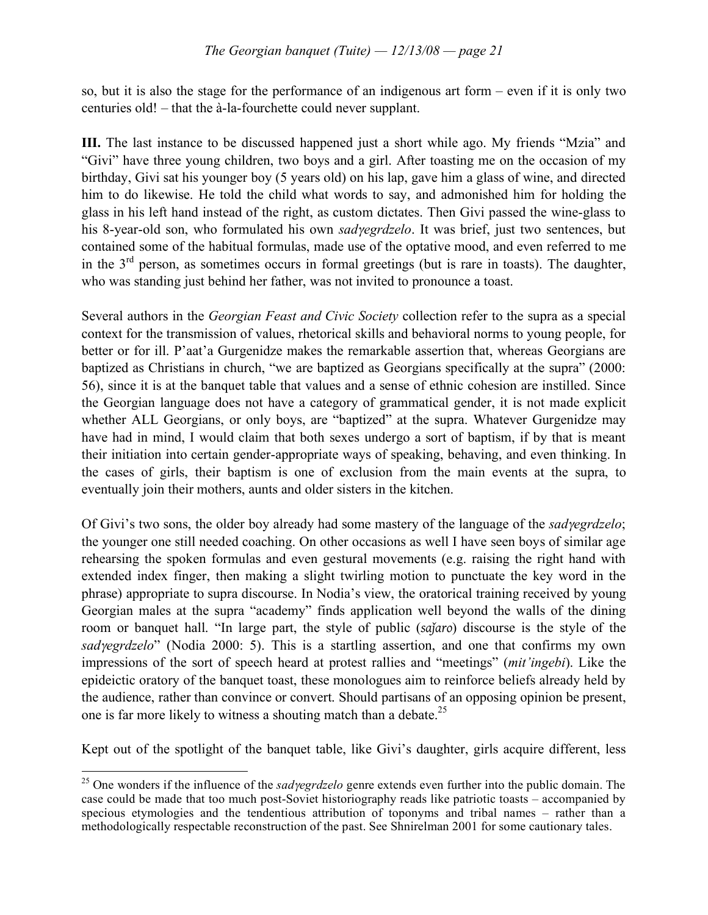so, but it is also the stage for the performance of an indigenous art form – even if it is only two centuries old! – that the à-la-fourchette could never supplant.

**III.** The last instance to be discussed happened just a short while ago. My friends "Mzia" and "Givi" have three young children, two boys and a girl. After toasting me on the occasion of my birthday, Givi sat his younger boy (5 years old) on his lap, gave him a glass of wine, and directed him to do likewise. He told the child what words to say, and admonished him for holding the glass in his left hand instead of the right, as custom dictates. Then Givi passed the wine-glass to his 8-year-old son, who formulated his own *sad*γ*egrdzelo*. It was brief, just two sentences, but contained some of the habitual formulas, made use of the optative mood, and even referred to me in the  $3<sup>rd</sup>$  person, as sometimes occurs in formal greetings (but is rare in toasts). The daughter, who was standing just behind her father, was not invited to pronounce a toast.

Several authors in the *Georgian Feast and Civic Society* collection refer to the supra as a special context for the transmission of values, rhetorical skills and behavioral norms to young people, for better or for ill. P'aat'a Gurgenidze makes the remarkable assertion that, whereas Georgians are baptized as Christians in church, "we are baptized as Georgians specifically at the supra" (2000: 56), since it is at the banquet table that values and a sense of ethnic cohesion are instilled. Since the Georgian language does not have a category of grammatical gender, it is not made explicit whether ALL Georgians, or only boys, are "baptized" at the supra. Whatever Gurgenidze may have had in mind, I would claim that both sexes undergo a sort of baptism, if by that is meant their initiation into certain gender-appropriate ways of speaking, behaving, and even thinking. In the cases of girls, their baptism is one of exclusion from the main events at the supra, to eventually join their mothers, aunts and older sisters in the kitchen.

Of Givi's two sons, the older boy already had some mastery of the language of the *sad*γ*egrdzelo*; the younger one still needed coaching. On other occasions as well I have seen boys of similar age rehearsing the spoken formulas and even gestural movements (e.g. raising the right hand with extended index finger, then making a slight twirling motion to punctuate the key word in the phrase) appropriate to supra discourse. In Nodia's view, the oratorical training received by young Georgian males at the supra "academy" finds application well beyond the walls of the dining room or banquet hall. "In large part, the style of public (*saǰaro*) discourse is the style of the *sad*γ*egrdzelo*" (Nodia 2000: 5). This is a startling assertion, and one that confirms my own impressions of the sort of speech heard at protest rallies and "meetings" (*mit'ingebi*). Like the epideictic oratory of the banquet toast, these monologues aim to reinforce beliefs already held by the audience, rather than convince or convert. Should partisans of an opposing opinion be present, one is far more likely to witness a shouting match than a debate.<sup>25</sup>

Kept out of the spotlight of the banquet table, like Givi's daughter, girls acquire different, less

 <sup>25</sup> One wonders if the influence of the *sad*γ*egrdzelo* genre extends even further into the public domain. The case could be made that too much post-Soviet historiography reads like patriotic toasts – accompanied by specious etymologies and the tendentious attribution of toponyms and tribal names – rather than a methodologically respectable reconstruction of the past. See Shnirelman 2001 for some cautionary tales.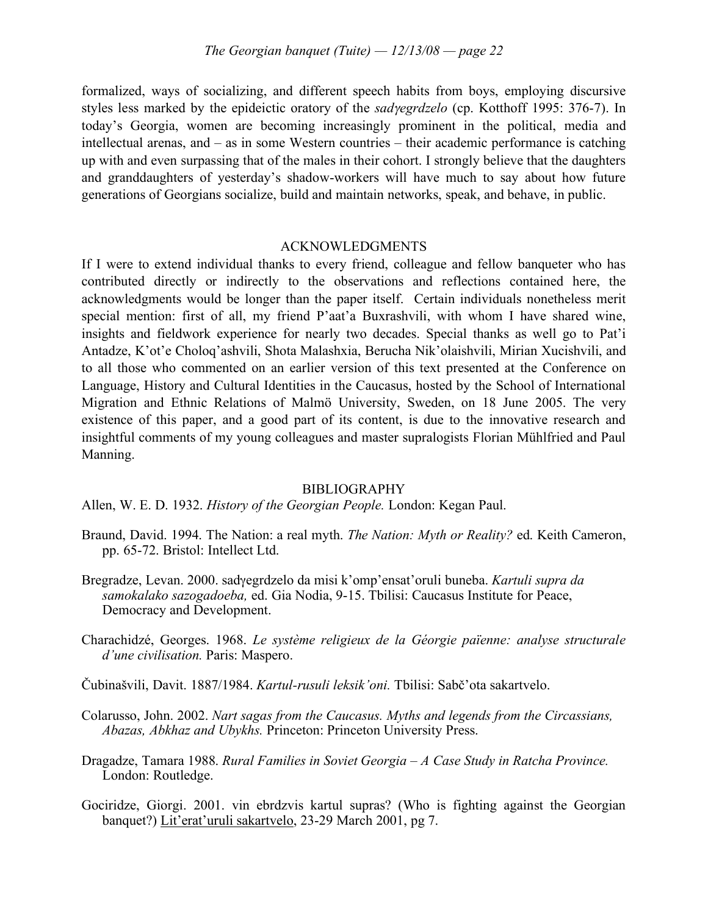formalized, ways of socializing, and different speech habits from boys, employing discursive styles less marked by the epideictic oratory of the *sad*γ*egrdzelo* (cp. Kotthoff 1995: 376-7). In today's Georgia, women are becoming increasingly prominent in the political, media and intellectual arenas, and – as in some Western countries – their academic performance is catching up with and even surpassing that of the males in their cohort. I strongly believe that the daughters and granddaughters of yesterday's shadow-workers will have much to say about how future generations of Georgians socialize, build and maintain networks, speak, and behave, in public.

#### ACKNOWLEDGMENTS

If I were to extend individual thanks to every friend, colleague and fellow banqueter who has contributed directly or indirectly to the observations and reflections contained here, the acknowledgments would be longer than the paper itself. Certain individuals nonetheless merit special mention: first of all, my friend P'aat'a Buxrashvili, with whom I have shared wine, insights and fieldwork experience for nearly two decades. Special thanks as well go to Pat'i Antadze, K'ot'e Choloq'ashvili, Shota Malashxia, Berucha Nik'olaishvili, Mirian Xucishvili, and to all those who commented on an earlier version of this text presented at the Conference on Language, History and Cultural Identities in the Caucasus, hosted by the School of International Migration and Ethnic Relations of Malmö University, Sweden, on 18 June 2005. The very existence of this paper, and a good part of its content, is due to the innovative research and insightful comments of my young colleagues and master supralogists Florian Mühlfried and Paul Manning.

#### **BIBLIOGRAPHY**

Allen, W. E. D. 1932. *History of the Georgian People.* London: Kegan Paul.

- Braund, David. 1994. The Nation: a real myth. *The Nation: Myth or Reality?* ed. Keith Cameron, pp. 65-72. Bristol: Intellect Ltd.
- Bregradze, Levan. 2000. sadγegrdzelo da misi k'omp'ensat'oruli buneba. *Kartuli supra da samokalako sazogadoeba,* ed. Gia Nodia, 9-15. Tbilisi: Caucasus Institute for Peace, Democracy and Development.
- Charachidzé, Georges. 1968. *Le système religieux de la Géorgie païenne: analyse structurale d'une civilisation.* Paris: Maspero.
- Čubinašvili, Davit. 1887/1984. *Kartul-rusuli leksik'oni.* Tbilisi: Sabč'ota sakartvelo.
- Colarusso, John. 2002. *Nart sagas from the Caucasus. Myths and legends from the Circassians, Abazas, Abkhaz and Ubykhs.* Princeton: Princeton University Press.
- Dragadze, Tamara 1988. *Rural Families in Soviet Georgia – A Case Study in Ratcha Province.* London: Routledge.
- Gociridze, Giorgi. 2001. vin ebrdzvis kartul supras? (Who is fighting against the Georgian banquet?) Lit'erat'uruli sakartvelo, 23-29 March 2001, pg 7.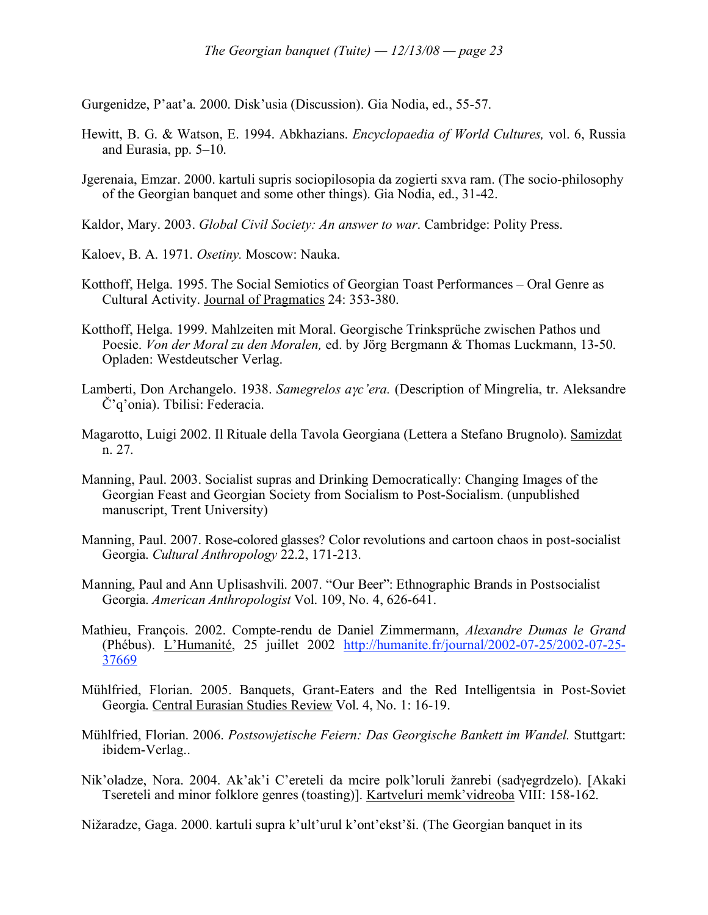Gurgenidze, P'aat'a. 2000. Disk'usia (Discussion). Gia Nodia, ed., 55-57.

- Hewitt, B. G. & Watson, E. 1994. Abkhazians. *Encyclopaedia of World Cultures,* vol. 6, Russia and Eurasia, pp. 5–10.
- Jgerenaia, Emzar. 2000. kartuli supris sociopilosopia da zogierti sxva ram. (The socio-philosophy of the Georgian banquet and some other things). Gia Nodia, ed., 31-42.
- Kaldor, Mary. 2003. *Global Civil Society: An answer to war*. Cambridge: Polity Press.
- Kaloev, B. A. 1971. *Osetiny.* Moscow: Nauka.
- Kotthoff, Helga. 1995. The Social Semiotics of Georgian Toast Performances Oral Genre as Cultural Activity. Journal of Pragmatics 24: 353-380.
- Kotthoff, Helga. 1999. Mahlzeiten mit Moral. Georgische Trinksprüche zwischen Pathos und Poesie. *Von der Moral zu den Moralen,* ed. by Jörg Bergmann & Thomas Luckmann, 13-50. Opladen: Westdeutscher Verlag.
- Lamberti, Don Archangelo. 1938. *Samegrelos a*γ*c'era.* (Description of Mingrelia, tr. Aleksandre Č'q'onia). Tbilisi: Federacia.
- Magarotto, Luigi 2002. Il Rituale della Tavola Georgiana (Lettera a Stefano Brugnolo). Samizdat n. 27.
- Manning, Paul. 2003. Socialist supras and Drinking Democratically: Changing Images of the Georgian Feast and Georgian Society from Socialism to Post-Socialism. (unpublished manuscript, Trent University)
- Manning, Paul. 2007. Rose-colored glasses? Color revolutions and cartoon chaos in post-socialist Georgia. *Cultural Anthropology* 22.2, 171-213.
- Manning, Paul and Ann Uplisashvili. 2007. "Our Beer": Ethnographic Brands in Postsocialist Georgia. *American Anthropologist* Vol. 109, No. 4, 626-641.
- Mathieu, François. 2002. Compte-rendu de Daniel Zimmermann, *Alexandre Dumas le Grand* (Phébus). L'Humanité, 25 juillet 2002 http://humanite.fr/journal/2002-07-25/2002-07-25- 37669
- Mühlfried, Florian. 2005. Banquets, Grant-Eaters and the Red Intelligentsia in Post-Soviet Georgia. Central Eurasian Studies Review Vol. 4, No. 1: 16-19.
- Mühlfried, Florian. 2006. *Postsowjetische Feiern: Das Georgische Bankett im Wandel.* Stuttgart: ibidem-Verlag..
- Nik'oladze, Nora. 2004. Ak'ak'i C'ereteli da mcire polk'loruli žanrebi (sadγegrdzelo). [Akaki Tsereteli and minor folklore genres (toasting)]. Kartveluri memk'vidreoba VIII: 158-162.

Nižaradze, Gaga. 2000. kartuli supra k'ult'urul k'ont'ekst'ši. (The Georgian banquet in its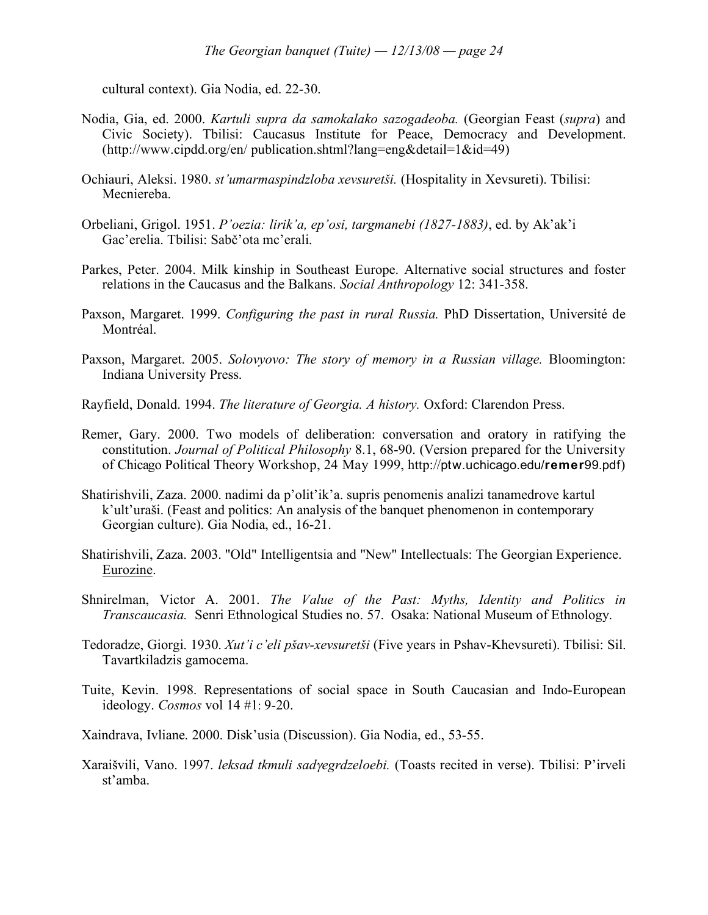cultural context). Gia Nodia, ed. 22-30.

- Nodia, Gia, ed. 2000. *Kartuli supra da samokalako sazogadeoba.* (Georgian Feast (*supra*) and Civic Society). Tbilisi: Caucasus Institute for Peace, Democracy and Development. (http://www.cipdd.org/en/ publication.shtml?lang=eng&detail=1&id=49)
- Ochiauri, Aleksi. 1980. *st'umarmaspindzloba xevsuretši.* (Hospitality in Xevsureti). Tbilisi: Mecniereba.
- Orbeliani, Grigol. 1951. *P'oezia: lirik'a, ep'osi, targmanebi (1827-1883)*, ed. by Ak'ak'i Gac'erelia. Tbilisi: Sabč'ota mc'erali.
- Parkes, Peter. 2004. Milk kinship in Southeast Europe. Alternative social structures and foster relations in the Caucasus and the Balkans. *Social Anthropology* 12: 341-358.
- Paxson, Margaret. 1999. *Configuring the past in rural Russia.* PhD Dissertation, Université de Montréal.
- Paxson, Margaret. 2005. *Solovyovo: The story of memory in a Russian village.* Bloomington: Indiana University Press.
- Rayfield, Donald. 1994. *The literature of Georgia. A history.* Oxford: Clarendon Press.
- Remer, Gary. 2000. Two models of deliberation: conversation and oratory in ratifying the constitution. *Journal of Political Philosophy* 8.1, 68-90. (Version prepared for the University of Chicago Political Theory Workshop, 24 May 1999, http://ptw.uchicago.edu/**remer**99.pdf)
- Shatirishvili, Zaza. 2000. nadimi da p'olit'ik'a. supris penomenis analizi tanamedrove kartul k'ult'uraši. (Feast and politics: An analysis of the banquet phenomenon in contemporary Georgian culture). Gia Nodia, ed., 16-21.
- Shatirishvili, Zaza. 2003. "Old" Intelligentsia and "New" Intellectuals: The Georgian Experience. Eurozine.
- Shnirelman, Victor A. 2001. *The Value of the Past: Myths, Identity and Politics in Transcaucasia.* Senri Ethnological Studies no. 57. Osaka: National Museum of Ethnology.
- Tedoradze, Giorgi. 1930. *Xut'i c'eli pšav-xevsuretši* (Five years in Pshav-Khevsureti). Tbilisi: Sil. Tavartkiladzis gamocema.
- Tuite, Kevin. 1998. Representations of social space in South Caucasian and Indo-European ideology. *Cosmos* vol 14 #1: 9-20.
- Xaindrava, Ivliane. 2000. Disk'usia (Discussion). Gia Nodia, ed., 53-55.
- Xaraišvili, Vano. 1997. *leksad tkmuli sad*γ*egrdzeloebi.* (Toasts recited in verse). Tbilisi: P'irveli st'amba.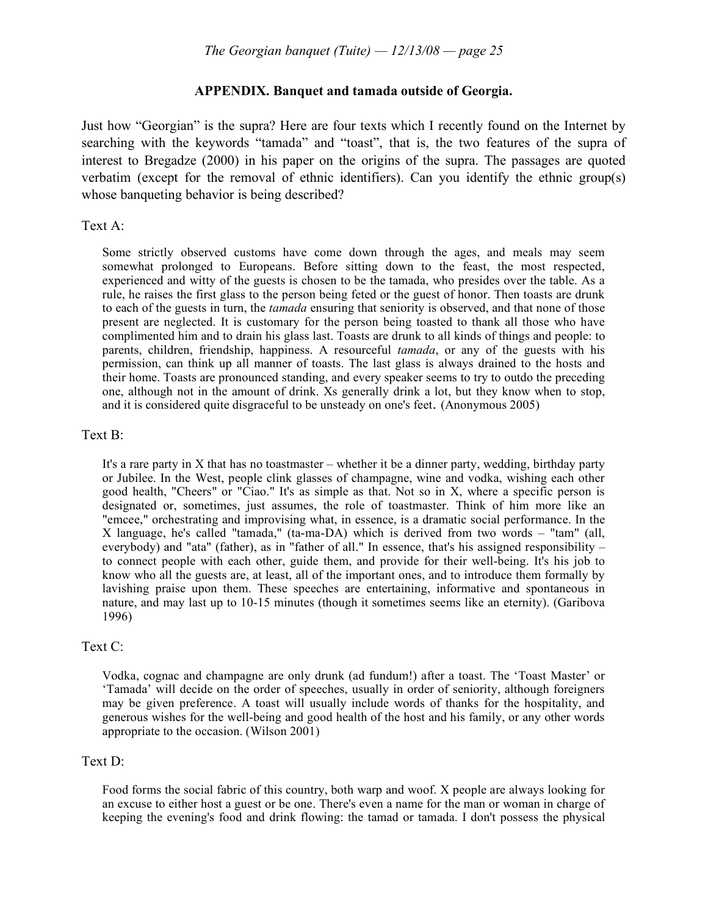#### **APPENDIX. Banquet and tamada outside of Georgia.**

Just how "Georgian" is the supra? Here are four texts which I recently found on the Internet by searching with the keywords "tamada" and "toast", that is, the two features of the supra of interest to Bregadze (2000) in his paper on the origins of the supra. The passages are quoted verbatim (except for the removal of ethnic identifiers). Can you identify the ethnic group(s) whose banqueting behavior is being described?

#### Text A:

Some strictly observed customs have come down through the ages, and meals may seem somewhat prolonged to Europeans. Before sitting down to the feast, the most respected, experienced and witty of the guests is chosen to be the tamada, who presides over the table. As a rule, he raises the first glass to the person being feted or the guest of honor. Then toasts are drunk to each of the guests in turn, the *tamada* ensuring that seniority is observed, and that none of those present are neglected. It is customary for the person being toasted to thank all those who have complimented him and to drain his glass last. Toasts are drunk to all kinds of things and people: to parents, children, friendship, happiness. A resourceful *tamada*, or any of the guests with his permission, can think up all manner of toasts. The last glass is always drained to the hosts and their home. Toasts are pronounced standing, and every speaker seems to try to outdo the preceding one, although not in the amount of drink. Xs generally drink a lot, but they know when to stop, and it is considered quite disgraceful to be unsteady on one's feet. (Anonymous 2005)

#### Text B:

It's a rare party in X that has no toastmaster – whether it be a dinner party, wedding, birthday party or Jubilee. In the West, people clink glasses of champagne, wine and vodka, wishing each other good health, "Cheers" or "Ciao." It's as simple as that. Not so in X, where a specific person is designated or, sometimes, just assumes, the role of toastmaster. Think of him more like an "emcee," orchestrating and improvising what, in essence, is a dramatic social performance. In the X language, he's called "tamada," (ta-ma-DA) which is derived from two words – "tam" (all, everybody) and "ata" (father), as in "father of all." In essence, that's his assigned responsibility – to connect people with each other, guide them, and provide for their well-being. It's his job to know who all the guests are, at least, all of the important ones, and to introduce them formally by lavishing praise upon them. These speeches are entertaining, informative and spontaneous in nature, and may last up to 10-15 minutes (though it sometimes seems like an eternity). (Garibova 1996)

#### Text C:

Vodka, cognac and champagne are only drunk (ad fundum!) after a toast. The 'Toast Master' or 'Tamada' will decide on the order of speeches, usually in order of seniority, although foreigners may be given preference. A toast will usually include words of thanks for the hospitality, and generous wishes for the well-being and good health of the host and his family, or any other words appropriate to the occasion. (Wilson 2001)

#### Text D:

Food forms the social fabric of this country, both warp and woof. X people are always looking for an excuse to either host a guest or be one. There's even a name for the man or woman in charge of keeping the evening's food and drink flowing: the tamad or tamada. I don't possess the physical